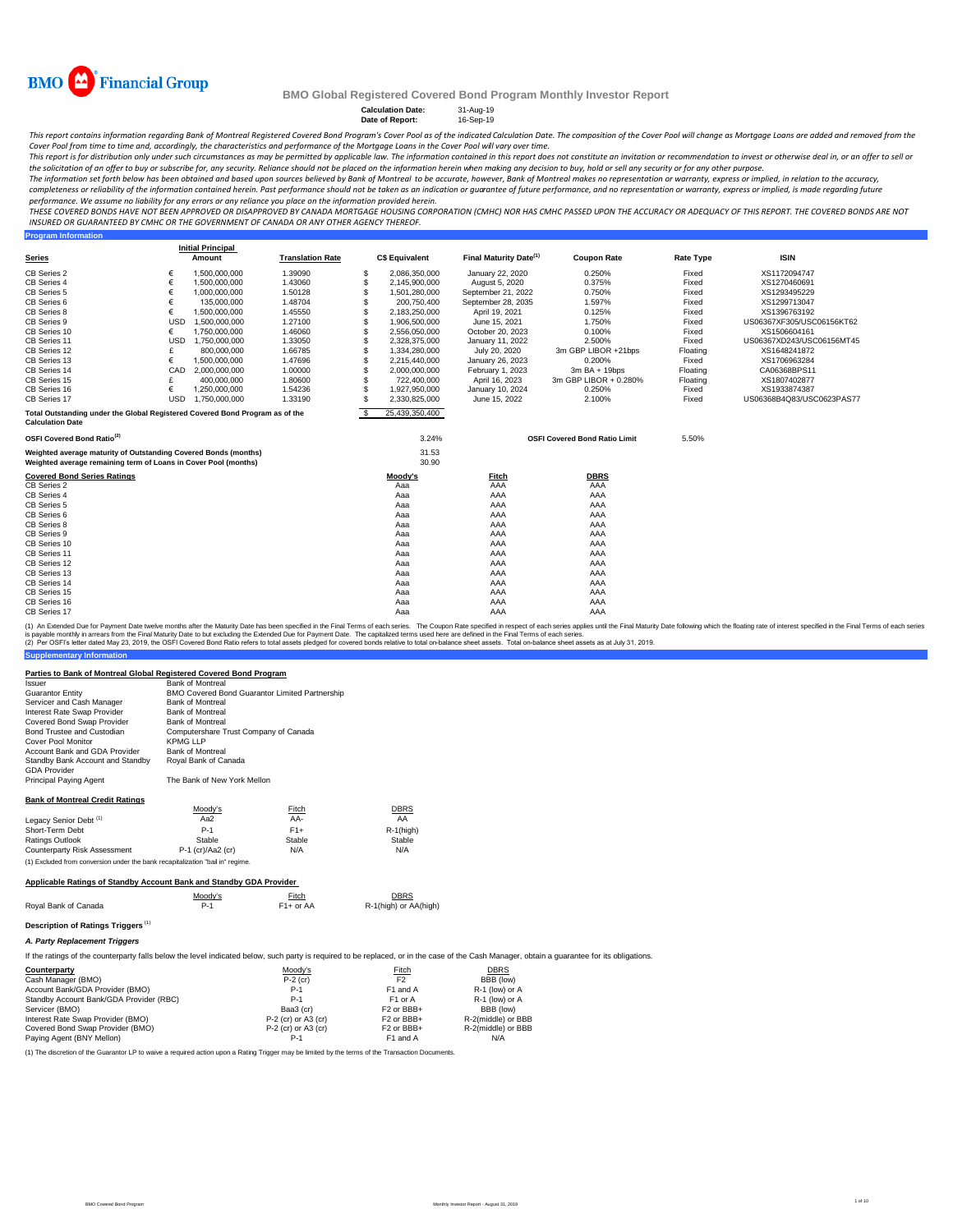

**Program Information**

## **BMO Global Registered Covered Bond Program Monthly Investor Report**

## **Calculation Date:** 31-Aug-19 **Date of Report:** 16-Sep-19

This report contains information regarding Bank of Montreal Registered Covered Bond Program's Cover Pool as of the indicated Calculation Date. The composition of the Cover Pool will change as Mortgage Loans are added and r

Cover Pool from time to time and, accordingly, the characteristics and performance of the Mortgage Loans in the Cover Pool will vary over time.<br>This report is for distribution only under such circumstances as may be permit the solicitation of an offer to buy or subscribe for, any security. Reliance should not be placed on the information herein when *making any decision to buy, hold or sell any security or for any other purpose.* 

The information set forth below has been obtained and based upon sources believed by Bank of Montreal to be accurate, however, Bank of Montreal makes no representation or warranty, express or implied, in relation to the ac

*performance. We assume no liability for any errors or any reliance you place on the information provided herein.*

.<br>THESE COVERED BONDS HAVE NOT BEEN APPROVED OR DISAPPROVED BY CANADA MORTGAGE HOUSING CORPORATION (CMHC) NOR HAS CMHC PASSED UPON THE ACCURACY OR ADEQUACY OF THIS REPORT. THE COVERED BONDS ARE NOT *INSURED OR GUARANTEED BY CMHC OR THE GOVERNMENT OF CANADA OR ANY OTHER AGENCY THEREOF.*

|                                                                                                                                    |            | <b>Initial Principal</b> |                         |    |                       |                                    |                                      |                  |                           |
|------------------------------------------------------------------------------------------------------------------------------------|------------|--------------------------|-------------------------|----|-----------------------|------------------------------------|--------------------------------------|------------------|---------------------------|
| <b>Series</b>                                                                                                                      |            | Amount                   | <b>Translation Rate</b> |    | <b>C\$ Equivalent</b> | Final Maturity Date <sup>(1)</sup> | <b>Coupon Rate</b>                   | <b>Rate Type</b> | <b>ISIN</b>               |
| CB Series 2                                                                                                                        | €          | 1,500,000,000            | 1.39090                 | S  | 2.086.350.000         | January 22, 2020                   | 0.250%                               | Fixed            | XS1172094747              |
| CB Series 4                                                                                                                        | €          | 1,500,000,000            | 1.43060                 | S  | 2,145,900,000         | August 5, 2020                     | 0.375%                               | Fixed            | XS1270460691              |
| CB Series 5                                                                                                                        | €          | 1,000,000,000            | 1.50128                 | S  | 1,501,280,000         | September 21, 2022                 | 0.750%                               | Fixed            | XS1293495229              |
| CB Series 6                                                                                                                        |            | 135,000,000              | 1.48704                 | S  | 200,750,400           | September 28, 2035                 | 1.597%                               | Fixed            | XS1299713047              |
| CB Series 8                                                                                                                        | €          | 1,500,000,000            | 1.45550                 | S  | 2,183,250,000         | April 19, 2021                     | 0.125%                               | Fixed            | XS1396763192              |
| CB Series 9                                                                                                                        | <b>USD</b> | 1.500.000.000            | 1.27100                 | S  | 1.906.500.000         | June 15, 2021                      | 1.750%                               | Fixed            | US06367XF305/USC06156KT62 |
| CB Series 10                                                                                                                       | €          | 1,750,000,000            | 1.46060                 | S  | 2,556,050,000         | October 20, 2023                   | 0.100%                               | Fixed            | XS1506604161              |
| CB Series 11                                                                                                                       | <b>USD</b> | 1.750.000.000            | 1.33050                 | S  | 2.328.375.000         | January 11, 2022                   | 2.500%                               | Fixed            | US06367XD243/USC06156MT45 |
| CB Series 12                                                                                                                       |            | 800,000,000              | 1.66785                 | S  | 1,334,280,000         | July 20, 2020                      | 3m GBP LIBOR +21bps                  | Floating         | XS1648241872              |
| CB Series 13                                                                                                                       | €          | 1,500,000,000            | 1.47696                 | S  | 2,215,440,000         | January 26, 2023                   | 0.200%                               | Fixed            | XS1706963284              |
| CB Series 14                                                                                                                       | CAD        | 2.000.000.000            | 1.00000                 | S  | 2,000,000,000         | February 1, 2023                   | $3m$ BA + 19bps                      | Floating         | CA06368BPS11              |
| CB Series 15                                                                                                                       |            | 400,000,000              | 1.80600                 | S  | 722,400,000           | April 16, 2023                     | 3m GBP LIBOR + 0.280%                | Floating         | XS1807402877              |
| CB Series 16                                                                                                                       | €          | 1.250.000.000            | 1.54236                 | S  | 1.927.950.000         | January 10, 2024                   | 0.250%                               | Fixed            | XS1933874387              |
| CB Series 17                                                                                                                       | <b>USD</b> | 1.750.000.000            | 1.33190                 | S  | 2.330.825.000         | June 15, 2022                      | 2.100%                               | Fixed            | US06368B4Q83/USC0623PAS77 |
| Total Outstanding under the Global Registered Covered Bond Program as of the<br><b>Calculation Date</b>                            |            |                          |                         | S. | 25.439.350.400        |                                    |                                      |                  |                           |
| OSFI Covered Bond Ratio <sup>(2)</sup>                                                                                             |            |                          |                         |    | 3.24%                 |                                    | <b>OSFI Covered Bond Ratio Limit</b> | 5.50%            |                           |
| Weighted average maturity of Outstanding Covered Bonds (months)<br>Weighted average remaining term of Loans in Cover Pool (months) |            |                          |                         |    | 31.53<br>30.90        |                                    |                                      |                  |                           |
| <b>Covered Bond Series Ratings</b>                                                                                                 |            |                          |                         |    | Moody's               | <b>Fitch</b>                       | <b>DBRS</b>                          |                  |                           |
| CB Series 2                                                                                                                        |            |                          |                         |    | Aaa                   | AAA                                | AAA                                  |                  |                           |
| CB Series 4                                                                                                                        |            |                          |                         |    | Aaa                   | AAA                                | AAA                                  |                  |                           |
| CB Series 5                                                                                                                        |            |                          |                         |    | Aaa                   | AAA                                | AAA                                  |                  |                           |
| CB Series 6                                                                                                                        |            |                          |                         |    | Aaa                   | AAA                                | AAA                                  |                  |                           |
| CB Series 8                                                                                                                        |            |                          |                         |    | Aaa                   | AAA                                | AAA                                  |                  |                           |
| CB Series 9                                                                                                                        |            |                          |                         |    | Aaa                   | AAA                                | AAA                                  |                  |                           |
| CB Series 10                                                                                                                       |            |                          |                         |    | Aaa                   | AAA                                | AAA                                  |                  |                           |
| CB Series 11                                                                                                                       |            |                          |                         |    | Aaa                   | AAA                                | AAA                                  |                  |                           |
| CB Series 12                                                                                                                       |            |                          |                         |    | Aaa                   | AAA                                | AAA                                  |                  |                           |
| CB Series 13                                                                                                                       |            |                          |                         |    | Aaa                   | AAA                                | AAA                                  |                  |                           |
| CB Series 14                                                                                                                       |            |                          |                         |    | Aaa                   | AAA                                | AAA                                  |                  |                           |
| CB Series 15                                                                                                                       |            |                          |                         |    | Aaa                   | AAA                                | AAA                                  |                  |                           |
| CB Series 16                                                                                                                       |            |                          |                         |    | Aaa                   | AAA                                | AAA                                  |                  |                           |
| CB Series 17                                                                                                                       |            |                          |                         |    | Aaa                   | AAA                                | AAA                                  |                  |                           |

(1) An Extended Due for Payment Date twelve months after the Maturity Date has been specified in the Final Terms of each series. The Coupon Rate specified in the respective in the specifie such series applies until the Fin

#### **Parties to Bank of Montreal Global Registered Covered Bond Program**

| Issuer                                 | <b>Bank of Montreal</b>                               |        |              |  |  |  |
|----------------------------------------|-------------------------------------------------------|--------|--------------|--|--|--|
| Guarantor Entitv                       | <b>BMO Covered Bond Guarantor Limited Partnership</b> |        |              |  |  |  |
| Servicer and Cash Manager              | <b>Bank of Montreal</b>                               |        |              |  |  |  |
| Interest Rate Swap Provider            | <b>Bank of Montreal</b>                               |        |              |  |  |  |
| Covered Bond Swap Provider             | <b>Bank of Montreal</b>                               |        |              |  |  |  |
| Bond Trustee and Custodian             | Computershare Trust Company of Canada                 |        |              |  |  |  |
| Cover Pool Monitor                     | KPMG LLP                                              |        |              |  |  |  |
| Account Bank and GDA Provider          | <b>Bank of Montreal</b>                               |        |              |  |  |  |
| Standby Bank Account and Standby       | Royal Bank of Canada                                  |        |              |  |  |  |
| <b>GDA Provider</b>                    |                                                       |        |              |  |  |  |
| Principal Paying Agent                 | The Bank of New York Mellon                           |        |              |  |  |  |
| <b>Bank of Montreal Credit Ratings</b> |                                                       |        |              |  |  |  |
|                                        | Moody's                                               | Fitch  | <b>DBRS</b>  |  |  |  |
| Legacy Senior Debt <sup>(1)</sup>      | Aa2                                                   | AA-    | AA           |  |  |  |
| Short-Term Debt                        | $P-1$                                                 | $F1+$  | $R-1$ (high) |  |  |  |
| Ratings Outlook                        | Stable                                                | Stable | Stable       |  |  |  |
| Counterparty Risk Assessment           | P-1 (cr)/Aa2 (cr)                                     | N/A    | N/A          |  |  |  |

### **Applicable Ratings of Standby Account Bank and Standby GDA Provider**

(1) Excluded from conversion under the bank recapitalization "bail in" regime.

|                      | Moodv's | Fitch       | <b>DBRS</b>           |
|----------------------|---------|-------------|-----------------------|
| Roval Bank of Canada | $P-1$   | $F1+$ or AA | R-1(high) or AA(high) |

## **Description of Ratings Triggers** (1)

**Supplementary Information**

*A. Party Replacement Triggers*

If the ratings of the counterparty falls below the level indicated below, such party is required to be replaced, or in the case of the Cash Manager, obtain a guarantee for its obligations.

| Counterparty                            | Moody's             | <b>Fitch</b>           | <b>DBRS</b>        |
|-----------------------------------------|---------------------|------------------------|--------------------|
| Cash Manager (BMO)                      | $P-2$ (cr)          | F <sub>2</sub>         | BBB (low)          |
| Account Bank/GDA Provider (BMO)         | $P-1$               | F1 and A               | R-1 (low) or A     |
| Standby Account Bank/GDA Provider (RBC) | $P-1$               | F1 or A                | R-1 (low) or A     |
| Servicer (BMO)                          | Baa3 (cr)           | F <sub>2</sub> or BBB+ | BBB (low)          |
| Interest Rate Swap Provider (BMO)       | P-2 (cr) or A3 (cr) | F <sub>2</sub> or BBB+ | R-2(middle) or BBB |
| Covered Bond Swap Provider (BMO)        | P-2 (cr) or A3 (cr) | F <sub>2</sub> or BBB+ | R-2(middle) or BBB |
| Paying Agent (BNY Mellon)               | P-1                 | F1 and A               | N/A                |

(1) The discretion of the Guarantor LP to waive a required action upon a Rating Trigger may be limited by the terms of the Transaction Documents.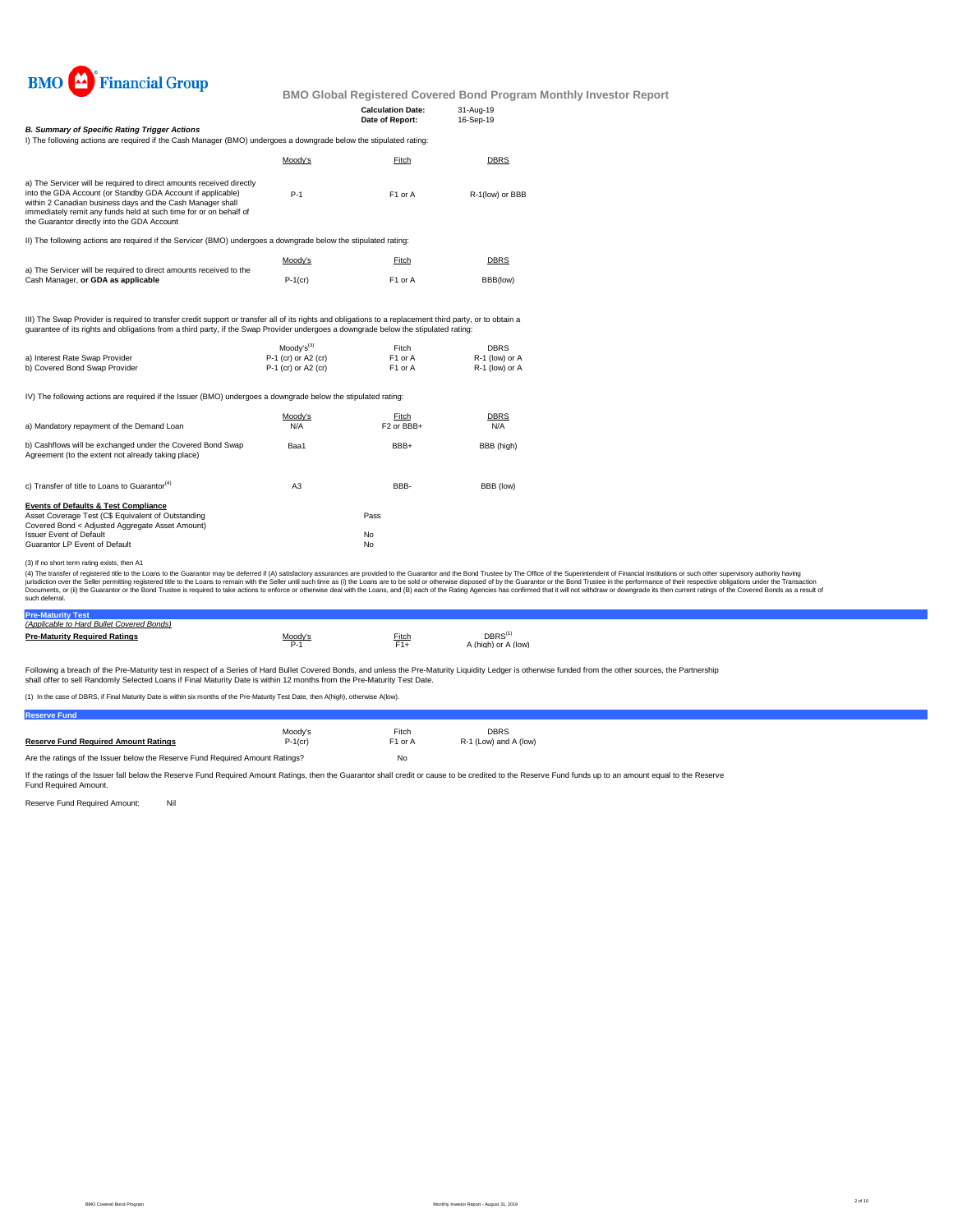

|                                                                                                                                                                                                                                                                                                                       |                     | <b>Calculation Date:</b><br>Date of Report: | 31-Aug-19<br>16-Sep-19 |  |
|-----------------------------------------------------------------------------------------------------------------------------------------------------------------------------------------------------------------------------------------------------------------------------------------------------------------------|---------------------|---------------------------------------------|------------------------|--|
| <b>B. Summary of Specific Rating Trigger Actions</b>                                                                                                                                                                                                                                                                  |                     |                                             |                        |  |
| I) The following actions are required if the Cash Manager (BMO) undergoes a downgrade below the stipulated rating:                                                                                                                                                                                                    |                     |                                             |                        |  |
|                                                                                                                                                                                                                                                                                                                       | Moody's             | Fitch                                       | DBRS                   |  |
| a) The Servicer will be required to direct amounts received directly<br>into the GDA Account (or Standby GDA Account if applicable)<br>within 2 Canadian business days and the Cash Manager shall<br>immediately remit any funds held at such time for or on behalf of<br>the Guarantor directly into the GDA Account | $P-1$               | F1 or A                                     | R-1(low) or BBB        |  |
| II) The following actions are required if the Servicer (BMO) undergoes a downgrade below the stipulated rating:                                                                                                                                                                                                       |                     |                                             |                        |  |
|                                                                                                                                                                                                                                                                                                                       | Moody's             | Fitch                                       | DBRS                   |  |
| a) The Servicer will be required to direct amounts received to the<br>Cash Manager, or GDA as applicable                                                                                                                                                                                                              | $P-1$ (cr)          | F1 or A                                     | BBB(low)               |  |
| III) The Swap Provider is required to transfer credit support or transfer all of its rights and obligations to a replacement third party, or to obtain a<br>guarantee of its rights and obligations from a third party, if the Swap Provider undergoes a downgrade below the stipulated rating:                       |                     |                                             |                        |  |
|                                                                                                                                                                                                                                                                                                                       | $Modv's^{(3)}$      | Fitch                                       | <b>DBRS</b>            |  |
| a) Interest Rate Swap Provider                                                                                                                                                                                                                                                                                        | P-1 (cr) or A2 (cr) | F1 or A                                     | R-1 (low) or A         |  |
| b) Covered Bond Swap Provider                                                                                                                                                                                                                                                                                         | P-1 (cr) or A2 (cr) | F1 or A                                     | R-1 (low) or A         |  |
| IV) The following actions are required if the Issuer (BMO) undergoes a downgrade below the stipulated rating:                                                                                                                                                                                                         |                     |                                             |                        |  |
|                                                                                                                                                                                                                                                                                                                       | Moody's             | Fitch                                       | <b>DBRS</b>            |  |
| a) Mandatory repayment of the Demand Loan                                                                                                                                                                                                                                                                             | N/A                 | F <sub>2</sub> or BBB+                      | N/A                    |  |
| b) Cashflows will be exchanged under the Covered Bond Swap<br>Agreement (to the extent not already taking place)                                                                                                                                                                                                      | Baa1                | BBB+                                        | BBB (high)             |  |
| c) Transfer of title to Loans to Guarantor <sup>(4)</sup>                                                                                                                                                                                                                                                             | A <sub>3</sub>      | BBB-                                        | BBB (low)              |  |
| <b>Events of Defaults &amp; Test Compliance</b>                                                                                                                                                                                                                                                                       |                     |                                             |                        |  |
| Asset Coverage Test (C\$ Equivalent of Outstanding<br>Covered Bond < Adjusted Aggregate Asset Amount)                                                                                                                                                                                                                 |                     | Pass                                        |                        |  |
| <b>Issuer Event of Default</b>                                                                                                                                                                                                                                                                                        |                     | No                                          |                        |  |
| Guarantor LP Event of Default                                                                                                                                                                                                                                                                                         |                     | No                                          |                        |  |
| (3) If no short term rating exists, then A1                                                                                                                                                                                                                                                                           |                     |                                             |                        |  |
| (4) The transfer of registered title to the Loans to the Guarantor may be deferred if (A) satisfactory assurances are provided to the Guarantor and the Bond Trustee by The Office of the Superintender                                                                                                               | March 1970 and      |                                             |                        |  |

(3) If no short term rating exists, then A1<br>(4) The transfer of registered title to baractor may be deferred if (A) satisfactory assurances are provided to the Guarantor and the Bond Trustee by The Office of the Superinten

| Pre-                                      |              |       |                     |  |
|-------------------------------------------|--------------|-------|---------------------|--|
| (Applicable to Hard Bullet Covered Bonds) |              |       |                     |  |
| <b>Pre-Maturity Required Ratings</b>      | $Mody's P-1$ | Fitch | DBRS <sup>(1)</sup> |  |
|                                           |              | $F1+$ | A (high) or A (low) |  |
|                                           |              |       |                     |  |
|                                           |              |       |                     |  |

Following a breach of the Pre-Maturity test in respect of a Series of Hard Bullet Covered Bonds, and unless the Pre-Maturity Liquidity Ledger is otherwise funded from the other sources, the Partnership<br>shall offer to sell

(1) In the case of DBRS, if Final Maturity Date is within six months of the Pre-Maturity Test Date, then A(high), otherwise A(low).

| <b>Reserve Fund</b>                                                           |            |                     |                       |
|-------------------------------------------------------------------------------|------------|---------------------|-----------------------|
|                                                                               | Moodv's    | Fitch               | <b>DBRS</b>           |
| <b>Reserve Fund Required Amount Ratings</b>                                   | $P-1$ (cr) | F <sub>1</sub> or A | R-1 (Low) and A (low) |
| Are the ratings of the Issuer below the Reserve Fund Required Amount Ratings? | No         |                     |                       |

If the ratings of the Issuer fall below the Reserve Fund Required Amount Ratings, then the Guarantor shall credit or cause to be credited to the Reserve Fund funds up to an amount equal to the Reserve<br>Fund Required Amount.

Reserve Fund Required Amount: Nil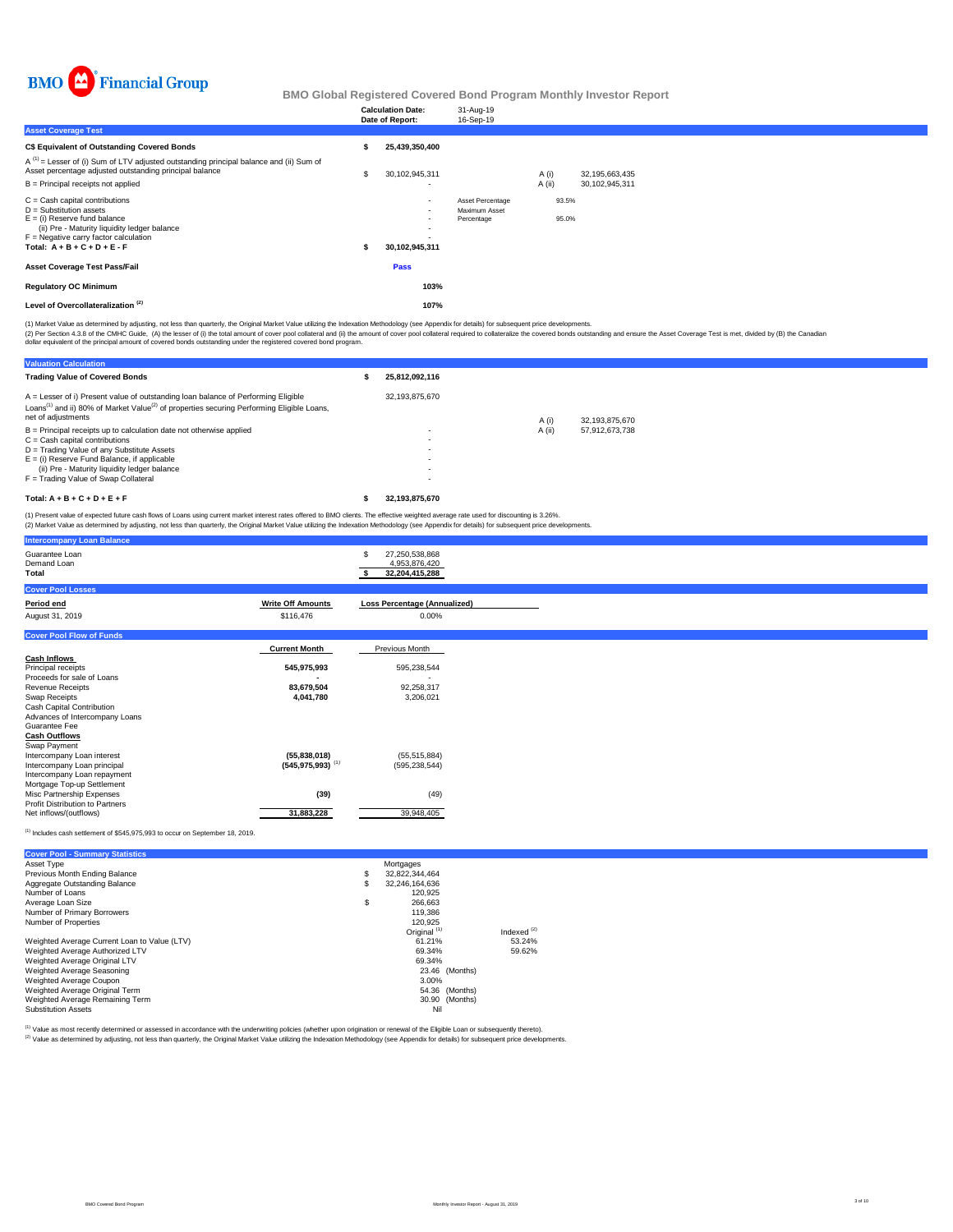

|                                                                                                                                                                                                                              |   | <b>Calculation Date:</b><br>Date of Report:                                    | 31-Aug-19<br>16-Sep-19                          |                |                |  |
|------------------------------------------------------------------------------------------------------------------------------------------------------------------------------------------------------------------------------|---|--------------------------------------------------------------------------------|-------------------------------------------------|----------------|----------------|--|
| <b>Asset Coverage Test</b>                                                                                                                                                                                                   |   |                                                                                |                                                 |                |                |  |
| C\$ Equivalent of Outstanding Covered Bonds                                                                                                                                                                                  |   | 25,439,350,400                                                                 |                                                 |                |                |  |
| $A^{(1)}$ = Lesser of (i) Sum of LTV adjusted outstanding principal balance and (ii) Sum of<br>Asset percentage adjusted outstanding principal balance                                                                       | S | 30,102,945,311                                                                 |                                                 | A (i)          | 32,195,663,435 |  |
| $B =$ Principal receipts not applied                                                                                                                                                                                         |   | $\overline{\phantom{a}}$                                                       |                                                 | A (ii)         | 30,102,945,311 |  |
| $C =$ Cash capital contributions<br>$D =$ Substitution assets<br>$E =$ (i) Reserve fund balance<br>(ii) Pre - Maturity liquidity ledger balance<br>$F =$ Negative carry factor calculation<br>Total: $A + B + C + D + E - F$ |   | $\blacksquare$<br>$\blacksquare$<br>$\overline{\phantom{a}}$<br>30,102,945,311 | Asset Percentage<br>Maximum Asset<br>Percentage | 93.5%<br>95.0% |                |  |
| <b>Asset Coverage Test Pass/Fail</b>                                                                                                                                                                                         |   | Pass                                                                           |                                                 |                |                |  |
| <b>Regulatory OC Minimum</b>                                                                                                                                                                                                 |   | 103%                                                                           |                                                 |                |                |  |
| Level of Overcollateralization <sup>(2)</sup>                                                                                                                                                                                |   | 107%                                                                           |                                                 |                |                |  |

(1) Market Value as determined by adjusting, not less than quarterly, the Original Market Value utilizing the Indexation Methodology (see Appendix for details) for subsequent price developments.

(2) Per Section 4.3.8 of the CMHC Guide, (A) the lesser of (i) the total amount of cover pool collateral and (i)) the amount of cover pool collateral required to collateralize the covered bonds outstanding and ensure the A

| <b>Valuation Calculation</b>                                                                                                                                                                                                 |                          |        |                |  |  |
|------------------------------------------------------------------------------------------------------------------------------------------------------------------------------------------------------------------------------|--------------------------|--------|----------------|--|--|
| <b>Trading Value of Covered Bonds</b>                                                                                                                                                                                        | 25,812,092,116           |        |                |  |  |
| A = Lesser of i) Present value of outstanding loan balance of Performing Eligible<br>Loans <sup>(1)</sup> and ii) 80% of Market Value <sup>(2)</sup> of properties securing Performing Eligible Loans,<br>net of adjustments | 32.193.875.670           | A (i)  | 32.193.875.670 |  |  |
| $B =$ Principal receipts up to calculation date not otherwise applied                                                                                                                                                        | $\overline{\phantom{a}}$ | A (ii) | 57,912,673,738 |  |  |
| $C =$ Cash capital contributions                                                                                                                                                                                             | ۰                        |        |                |  |  |
| D = Trading Value of any Substitute Assets                                                                                                                                                                                   | ۰                        |        |                |  |  |
| $E =$ (i) Reserve Fund Balance, if applicable                                                                                                                                                                                |                          |        |                |  |  |
| (ii) Pre - Maturity liquidity ledger balance                                                                                                                                                                                 | ۰                        |        |                |  |  |
| F = Trading Value of Swap Collateral                                                                                                                                                                                         | ۰                        |        |                |  |  |
| Total: $A + B + C + D + E + F$                                                                                                                                                                                               | 32.193.875.670           |        |                |  |  |
|                                                                                                                                                                                                                              |                          |        |                |  |  |

(1) Present value of expected future cash flows of Loans using current market interest rates offered to BMO clients. The effective weighted average rate used for discounting is 3.26%.<br>(2) Market Value as determined by adju

| <b>Intercompany Loan Balance</b>                             |                                  |                                                        |
|--------------------------------------------------------------|----------------------------------|--------------------------------------------------------|
| Guarantee Loan<br>Demand Loan<br>Total                       |                                  | 27,250,538,868<br>S<br>4,953,876,420<br>32,204,415,288 |
| <b>Cover Pool Losses</b>                                     |                                  |                                                        |
| Period end                                                   | <b>Write Off Amounts</b>         | <b>Loss Percentage (Annualized)</b>                    |
| August 31, 2019                                              | \$116,476                        | 0.00%                                                  |
| <b>Cover Pool Flow of Funds</b>                              |                                  |                                                        |
|                                                              | <b>Current Month</b>             | Previous Month                                         |
| <b>Cash Inflows</b>                                          |                                  |                                                        |
| Principal receipts                                           | 545,975,993                      | 595,238,544                                            |
| Proceeds for sale of Loans                                   |                                  |                                                        |
| <b>Revenue Receipts</b>                                      | 83,679,504<br>4,041,780          | 92,258,317                                             |
| Swap Receipts<br>Cash Capital Contribution                   |                                  | 3,206,021                                              |
| Advances of Intercompany Loans                               |                                  |                                                        |
| Guarantee Fee                                                |                                  |                                                        |
| <b>Cash Outflows</b>                                         |                                  |                                                        |
| Swap Payment                                                 |                                  |                                                        |
| Intercompany Loan interest                                   | (55,838,018)                     | (55, 515, 884)                                         |
| Intercompany Loan principal                                  | $(545, 975, 993)$ <sup>(1)</sup> | (595, 238, 544)                                        |
| Intercompany Loan repayment                                  |                                  |                                                        |
| Mortgage Top-up Settlement                                   |                                  |                                                        |
| Misc Partnership Expenses<br>Profit Distribution to Partners | (39)                             | (49)                                                   |
| Net inflows/(outflows)                                       | 31,883,228                       | 39,948,405                                             |
|                                                              |                                  |                                                        |

 $^{(1)}$  Includes cash settlement of \$545,975,993 to occur on September 18, 2019.

| <b>Cover Pool - Summary Statistics</b>       |    |                         |               |
|----------------------------------------------|----|-------------------------|---------------|
| Asset Type                                   |    | Mortgages               |               |
| Previous Month Ending Balance                | S  | 32.822.344.464          |               |
| Aggregate Outstanding Balance                | S  | 32.246.164.636          |               |
| Number of Loans                              |    | 120.925                 |               |
| Average Loan Size                            | \$ | 266.663                 |               |
| Number of Primary Borrowers                  |    | 119,386                 |               |
| Number of Properties                         |    | 120.925                 |               |
|                                              |    | Original <sup>(1)</sup> | Indexed $(2)$ |
| Weighted Average Current Loan to Value (LTV) |    | 61.21%                  | 53.24%        |
| Weighted Average Authorized LTV              |    | 69.34%                  | 59.62%        |
| Weighted Average Original LTV                |    | 69.34%                  |               |
| Weighted Average Seasoning                   |    | 23.46 (Months)          |               |
| Weighted Average Coupon                      |    | 3.00%                   |               |
| Weighted Average Original Term               |    | 54.36 (Months)          |               |
| Weighted Average Remaining Term              |    | 30.90 (Months)          |               |
| <b>Substitution Assets</b>                   |    | Nil                     |               |

<sup>(1)</sup> Value as most recently determined or assessed in accordance with the underwriting policies (whether upon origination or renewal of the Eligible Loan or subsequently thereto).<br><sup>(2)</sup> Value as determined by adjusting, n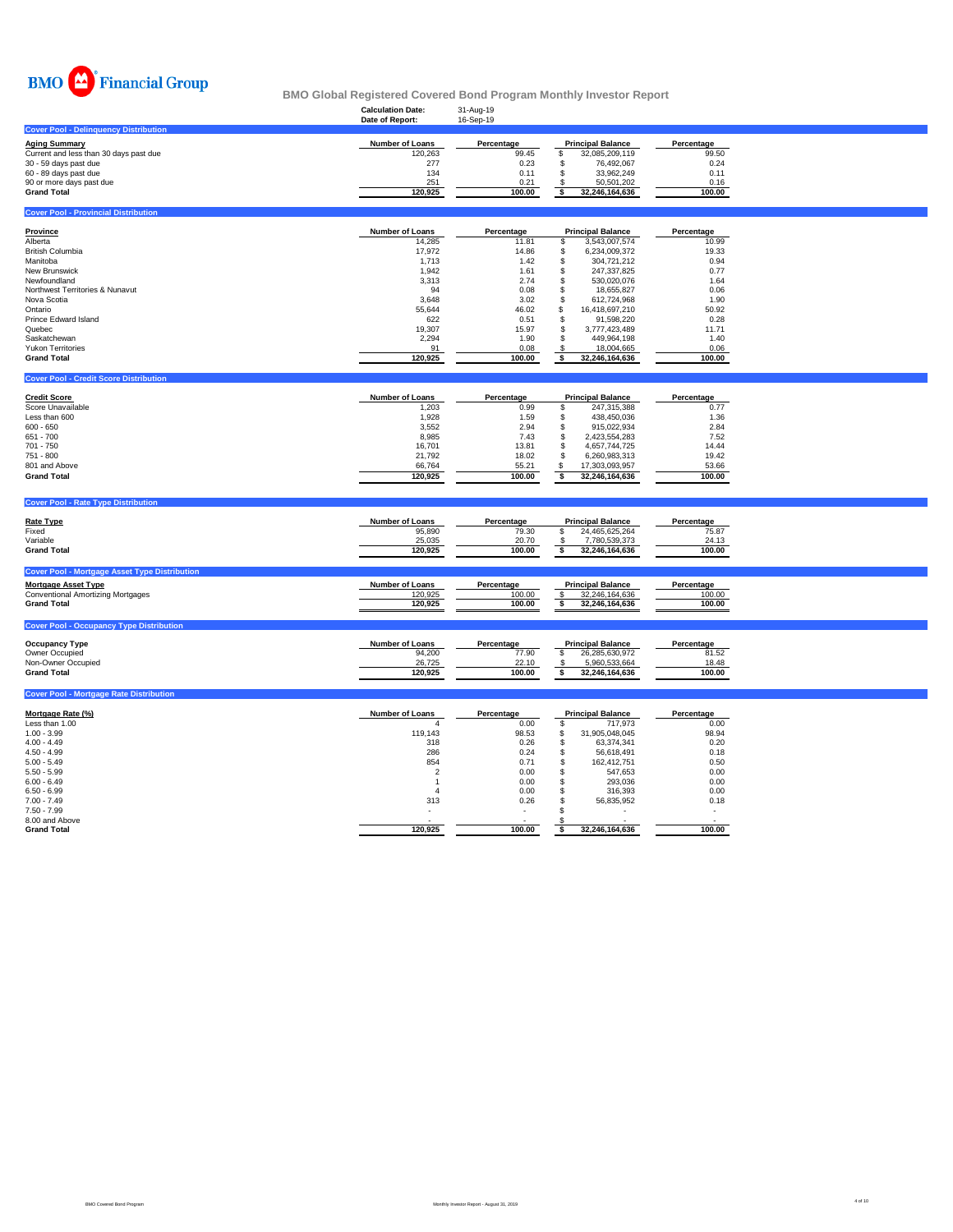

|                                                                                                                                                                                                                                                                     | <b>Calculation Date:</b><br>Date of Report:                                                                                               | 31-Aug-19<br>16-Sep-19                                                                                                   |                                                                                                                                                                                                                                                                                                                    |                                                                                                                          |  |
|---------------------------------------------------------------------------------------------------------------------------------------------------------------------------------------------------------------------------------------------------------------------|-------------------------------------------------------------------------------------------------------------------------------------------|--------------------------------------------------------------------------------------------------------------------------|--------------------------------------------------------------------------------------------------------------------------------------------------------------------------------------------------------------------------------------------------------------------------------------------------------------------|--------------------------------------------------------------------------------------------------------------------------|--|
| <b>Cover Pool - Delinguency Distribution</b>                                                                                                                                                                                                                        |                                                                                                                                           |                                                                                                                          |                                                                                                                                                                                                                                                                                                                    |                                                                                                                          |  |
| <b>Aging Summary</b><br>Current and less than 30 days past due<br>30 - 59 days past due<br>60 - 89 days past due<br>90 or more days past due<br><b>Grand Total</b>                                                                                                  | <b>Number of Loans</b><br>120,263<br>277<br>134<br>251<br>120,925                                                                         | Percentage<br>99.45<br>0.23<br>0.11<br>0.21<br>100.00                                                                    | <b>Principal Balance</b><br>\$<br>32,085,209,119<br>\$<br>76,492,067<br>\$<br>33,962,249<br>S<br>50,501,202<br>\$<br>32,246,164,636                                                                                                                                                                                | Percentage<br>99.50<br>0.24<br>0.11<br>0.16<br>100.00                                                                    |  |
| <b>Cover Pool - Provincial Distribution</b>                                                                                                                                                                                                                         |                                                                                                                                           |                                                                                                                          |                                                                                                                                                                                                                                                                                                                    |                                                                                                                          |  |
| <b>Province</b><br>Alberta<br><b>British Columbia</b><br>Manitoba<br>New Brunswick<br>Newfoundland<br>Northwest Territories & Nunavut<br>Nova Scotia<br>Ontario<br>Prince Edward Island<br>Quebec<br>Saskatchewan<br><b>Yukon Territories</b><br><b>Grand Total</b> | <b>Number of Loans</b><br>14,285<br>17,972<br>1,713<br>1,942<br>3,313<br>94<br>3,648<br>55,644<br>622<br>19,307<br>2,294<br>91<br>120,925 | Percentage<br>11.81<br>14.86<br>1.42<br>1.61<br>2.74<br>0.08<br>3.02<br>46.02<br>0.51<br>15.97<br>1.90<br>0.08<br>100.00 | <b>Principal Balance</b><br>3,543,007,574<br>\$<br>6,234,009,372<br>\$<br>\$<br>304,721,212<br>\$<br>247,337,825<br>530,020,076<br>\$<br>\$<br>18,655,827<br>\$<br>612,724,968<br>\$<br>16,418,697,210<br>\$<br>91,598,220<br>\$<br>3,777,423,489<br>\$<br>449,964,198<br>\$<br>18,004,665<br>\$<br>32,246,164,636 | Percentage<br>10.99<br>19.33<br>0.94<br>0.77<br>1.64<br>0.06<br>1.90<br>50.92<br>0.28<br>11.71<br>1.40<br>0.06<br>100.00 |  |
|                                                                                                                                                                                                                                                                     |                                                                                                                                           |                                                                                                                          |                                                                                                                                                                                                                                                                                                                    |                                                                                                                          |  |
| <b>Cover Pool - Credit Score Distribution</b>                                                                                                                                                                                                                       |                                                                                                                                           |                                                                                                                          |                                                                                                                                                                                                                                                                                                                    |                                                                                                                          |  |
| <b>Credit Score</b><br>Score Unavailable<br>Less than 600<br>$600 - 650$<br>651 - 700<br>701 - 750<br>751 - 800<br>801 and Above<br><b>Grand Total</b>                                                                                                              | Number of Loans<br>1,203<br>1,928<br>3,552<br>8,985<br>16,701<br>21,792<br>66,764<br>120,925                                              | Percentage<br>0.99<br>1.59<br>2.94<br>7.43<br>13.81<br>18.02<br>55.21<br>100.00                                          | <b>Principal Balance</b><br>\$<br>247,315,388<br>$\mathfrak{s}$<br>438,450,036<br>\$<br>915,022,934<br>\$<br>2,423,554,283<br>$\mathsf{\$}$<br>4,657,744,725<br>$\mathsf{\$}$<br>6,260,983,313<br>\$<br>17,303,093,957<br>\$<br>32,246,164,636                                                                     | Percentage<br>0.77<br>1.36<br>2.84<br>7.52<br>14.44<br>19.42<br>53.66<br>100.00                                          |  |
| <b>Cover Pool - Rate Type Distribution</b>                                                                                                                                                                                                                          |                                                                                                                                           |                                                                                                                          |                                                                                                                                                                                                                                                                                                                    |                                                                                                                          |  |
| Rate Type<br>Fixed<br>Variable<br><b>Grand Total</b>                                                                                                                                                                                                                | Number of Loans<br>95,890<br>25,035<br>120,925                                                                                            | Percentage<br>79.30<br>20.70<br>100.00                                                                                   | <b>Principal Balance</b><br>\$<br>24,465,625,264<br>$\pmb{\mathsf{S}}$<br>7,780,539,373<br>\$<br>32,246,164,636                                                                                                                                                                                                    | Percentage<br>75.87<br>24.13<br>100.00                                                                                   |  |
| <b>Cover Pool - Mortgage Asset Type Distribution</b>                                                                                                                                                                                                                |                                                                                                                                           |                                                                                                                          |                                                                                                                                                                                                                                                                                                                    |                                                                                                                          |  |
| <b>Mortgage Asset Type</b><br><b>Conventional Amortizing Mortgages</b><br><b>Grand Total</b>                                                                                                                                                                        | Number of Loans<br>120,925<br>120,925                                                                                                     | Percentage<br>100.00<br>100.00                                                                                           | <b>Principal Balance</b><br>\$<br>32,246,164,636<br>\$<br>32,246,164,636                                                                                                                                                                                                                                           | Percentage<br>100.00<br>100.00                                                                                           |  |
| <b>Cover Pool - Occupancy Type Distribution</b>                                                                                                                                                                                                                     |                                                                                                                                           |                                                                                                                          |                                                                                                                                                                                                                                                                                                                    |                                                                                                                          |  |
| <b>Occupancy Type</b><br>Owner Occupied<br>Non-Owner Occupied<br><b>Grand Total</b>                                                                                                                                                                                 | Number of Loans<br>94,200<br>26,725<br>120,925                                                                                            | Percentage<br>77.90<br>22.10<br>100.00                                                                                   | <b>Principal Balance</b><br>\$<br>26,285,630,972<br>\$<br>5,960,533,664<br>\$<br>32,246,164,636                                                                                                                                                                                                                    | Percentage<br>81.52<br>18.48<br>100.00                                                                                   |  |
| <b>Cover Pool - Mortgage Rate Distribution</b>                                                                                                                                                                                                                      |                                                                                                                                           |                                                                                                                          |                                                                                                                                                                                                                                                                                                                    |                                                                                                                          |  |

| Mortgage Rate (%)  | <b>Number of Loans</b> | Percentage               |                | <b>Principal Balance</b> | Percentage |
|--------------------|------------------------|--------------------------|----------------|--------------------------|------------|
| Less than 1.00     |                        | 0.00                     |                | 717.973                  | 0.00       |
| $1.00 - 3.99$      | 119.143                | 98.53                    |                | 31.905.048.045           | 98.94      |
| $4.00 - 4.49$      | 318                    | 0.26                     | S              | 63.374.341               | 0.20       |
| $4.50 - 4.99$      | 286                    | 0.24                     | a.             | 56.618.491               | 0.18       |
| $5.00 - 5.49$      | 854                    | 0.71                     |                | 162.412.751              | 0.50       |
| $5.50 - 5.99$      |                        | 0.00                     |                | 547.653                  | 0.00       |
| $6.00 - 6.49$      |                        | 0.00                     |                | 293.036                  | 0.00       |
| $6.50 - 6.99$      |                        | 0.00                     |                | 316,393                  | 0.00       |
| $7.00 - 7.49$      | 313                    | 0.26                     |                | 56,835,952               | 0.18       |
| $7.50 - 7.99$      |                        | $\overline{\phantom{a}}$ |                | ۰                        |            |
| 8.00 and Above     |                        |                          |                |                          |            |
| <b>Grand Total</b> | 120.925                | 100.00                   | 32,246,164,636 |                          | 100.00     |

Ħ

T,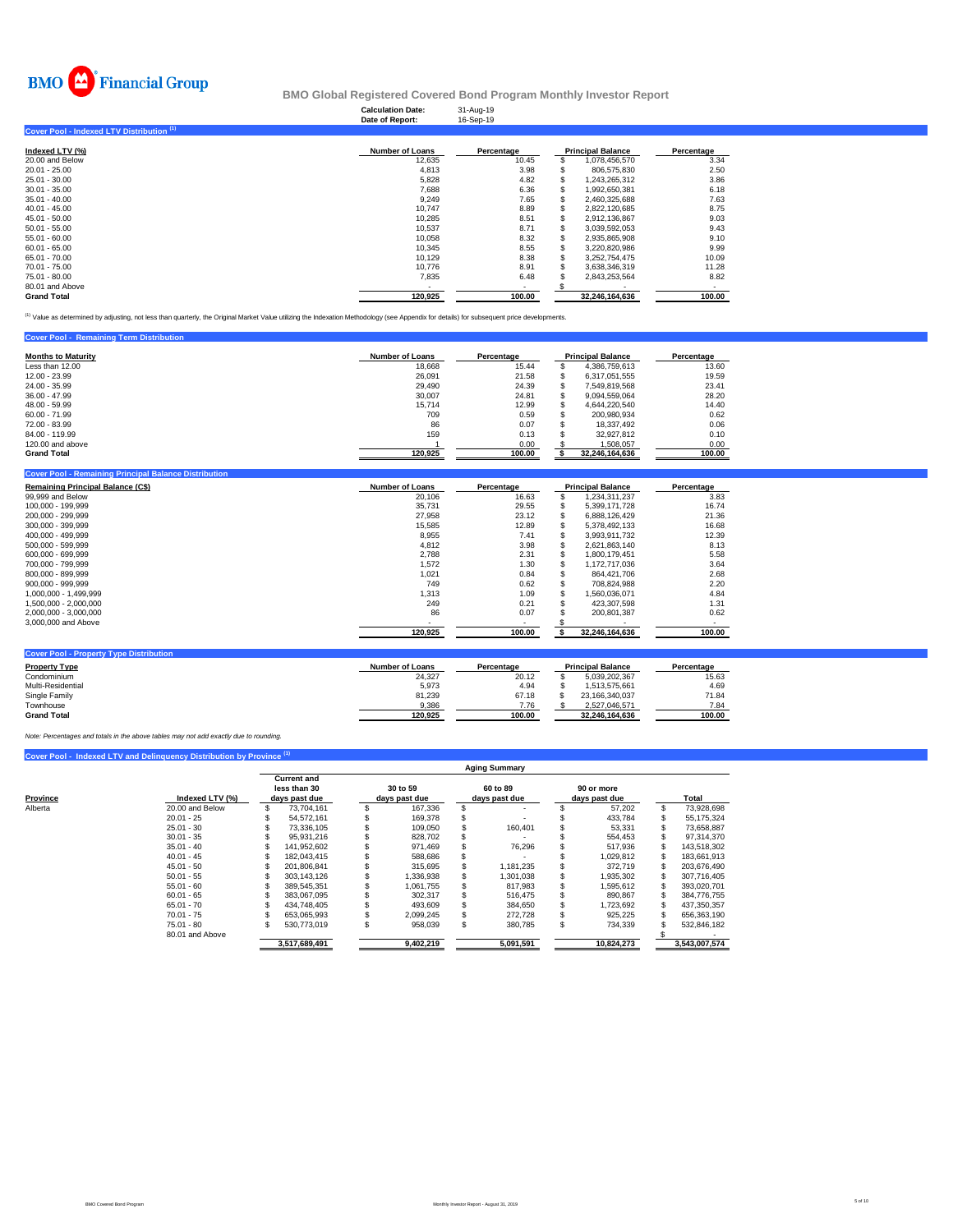

|                                                      | <b>Calculation Date:</b><br>Date of Report: | 31-Aug-19<br>16-Sep-19 |    |                          |            |
|------------------------------------------------------|---------------------------------------------|------------------------|----|--------------------------|------------|
| Cover Pool - Indexed LTV Distribution <sup>(1)</sup> |                                             |                        |    |                          |            |
| Indexed LTV (%)                                      | <b>Number of Loans</b>                      | Percentage             |    | <b>Principal Balance</b> | Percentage |
| 20.00 and Below                                      | 12,635                                      | 10.45                  |    | 1,078,456,570            | 3.34       |
| 20.01 - 25.00                                        | 4,813                                       | 3.98                   |    | 806,575,830              | 2.50       |
| 25.01 - 30.00                                        | 5,828                                       | 4.82                   |    | 1,243,265,312            | 3.86       |
| 30.01 - 35.00                                        | 7,688                                       | 6.36                   | S. | 1,992,650,381            | 6.18       |
| 35.01 - 40.00                                        | 9,249                                       | 7.65                   |    | 2,460,325,688            | 7.63       |
| 40.01 - 45.00                                        | 10.747                                      | 8.89                   |    | 2,822,120,685            | 8.75       |
| 45.01 - 50.00                                        | 10,285                                      | 8.51                   |    | 2,912,136,867            | 9.03       |
| 50.01 - 55.00                                        | 10,537                                      | 8.71                   |    | 3,039,592,053            | 9.43       |
| 55.01 - 60.00                                        | 10,058                                      | 8.32                   |    | 2,935,865,908            | 9.10       |
| 60.01 - 65.00                                        | 10,345                                      | 8.55                   |    | 3,220,820,986            | 9.99       |
| 65.01 - 70.00                                        | 10,129                                      | 8.38                   |    | 3,252,754,475            | 10.09      |
| 70.01 - 75.00                                        | 10,776                                      | 8.91                   |    | 3,638,346,319            | 11.28      |
| 75.01 - 80.00                                        | 7,835                                       | 6.48                   |    | 2,843,253,564            | 8.82       |
| 80.01 and Above                                      | $\overline{\phantom{a}}$                    | $\blacksquare$         |    |                          |            |
| <b>Grand Total</b>                                   | 120.925                                     | 100.00                 |    | 32.246.164.636           | 100.00     |

<sup>(1)</sup> Value as determined by adjusting, not less than quarterly, the Original Market Value utilizing the Indexation Methodology (see Appendix for details) for subsequent price developments.

| <b>Cover Pool - Remaining Term Distribution</b> |                        |            |                          |            |
|-------------------------------------------------|------------------------|------------|--------------------------|------------|
| <b>Months to Maturity</b>                       | <b>Number of Loans</b> | Percentage | <b>Principal Balance</b> | Percentage |
| Less than 12.00                                 | 18.668                 | 15.44      | 4,386,759,613            | 13.60      |
| 12.00 - 23.99                                   | 26.091                 | 21.58      | 6.317.051.555            | 19.59      |
| 24.00 - 35.99                                   | 29,490                 | 24.39      | 7.549.819.568            | 23.41      |
| $36.00 - 47.99$                                 | 30,007                 | 24.81      | 9.094.559.064            | 28.20      |
| 48.00 - 59.99                                   | 15.714                 | 12.99      | 4.644.220.540            | 14.40      |
| $60.00 - 71.99$                                 | 709                    | 0.59       | 200.980.934              | 0.62       |
| 72.00 - 83.99                                   | 86                     | 0.07       | 18.337.492               | 0.06       |
| 84.00 - 119.99                                  | 159                    | 0.13       | 32.927.812               | 0.10       |
| 120,00 and above                                |                        | 0.00       | 1.508.057                | 0.00       |
| <b>Grand Total</b>                              | 120,925                | 100.00     | 32.246.164.636           | 100.00     |

| <b>Cover Pool - Remaining Principal Balance Distribution</b><br><b>Remaining Principal Balance (C\$)</b> | <b>Number of Loans</b> | Percentage |     | <b>Principal Balance</b> | Percentage |
|----------------------------------------------------------------------------------------------------------|------------------------|------------|-----|--------------------------|------------|
| 99,999 and Below                                                                                         | 20.106                 | 16.63      | \$. | 1,234,311,237            | 3.83       |
| 100.000 - 199.999                                                                                        | 35.731                 | 29.55      |     | 5.399.171.728            | 16.74      |
| 200.000 - 299.999                                                                                        | 27,958                 | 23.12      |     | 6,888,126,429            | 21.36      |
| 300.000 - 399.999                                                                                        | 15.585                 | 12.89      |     | 5.378.492.133            | 16.68      |
| 400.000 - 499.999                                                                                        | 8.955                  | 7.41       |     | 3.993.911.732            | 12.39      |
| 500.000 - 599.999                                                                                        | 4,812                  | 3.98       |     | 2,621,863,140            | 8.13       |
| 600.000 - 699.999                                                                                        | 2.788                  | 2.31       |     | 1.800.179.451            | 5.58       |
| 700.000 - 799.999                                                                                        | 1,572                  | 1.30       |     | 1.172.717.036            | 3.64       |
| 800.000 - 899.999                                                                                        | 1,021                  | 0.84       |     | 864,421,706              | 2.68       |
| 900.000 - 999.999                                                                                        | 749                    | 0.62       |     | 708.824.988              | 2.20       |
| 1.000.000 - 1.499.999                                                                                    | 1,313                  | 1.09       |     | 1,560,036,071            | 4.84       |
| 1,500,000 - 2,000,000                                                                                    | 249                    | 0.21       |     | 423,307,598              | 1.31       |
| 2,000,000 - 3,000,000                                                                                    | 86                     | 0.07       |     | 200,801,387              | 0.62       |
| 3,000,000 and Above                                                                                      |                        |            |     |                          |            |
|                                                                                                          | 120,925                | 100.00     |     | 32,246,164,636           | 100.00     |
| <b>Cover Pool - Property Type Distribution</b>                                                           |                        |            |     |                          |            |

| <b>Property Type</b> | <b>Number of Loans</b> | Percentage | <b>Principal Balance</b> | Percentage |
|----------------------|------------------------|------------|--------------------------|------------|
| Condominium          | 24.327                 | 20.12      | 5.039.202.367            | 15.63      |
| Multi-Residential    | 5.973                  | 4.94       | 1.513.575.661            | 4.69       |
| Single Family        | 81.239                 | 67.18      | 23.166.340.037           | 71.84      |
| Townhouse            | 9.386                  | 7.76       | 2.527.046.571            | 7.84       |
| <b>Grand Total</b>   | 120.925                | 100.00     | 32.246.164.636           | 100.00     |

*Note: Percentages and totals in the above tables may not add exactly due to rounding.*

|          |                 | <b>Aging Summary</b> |                    |               |           |               |           |    |               |    |               |  |  |  |
|----------|-----------------|----------------------|--------------------|---------------|-----------|---------------|-----------|----|---------------|----|---------------|--|--|--|
|          |                 |                      | <b>Current and</b> |               |           |               |           |    |               |    |               |  |  |  |
|          |                 |                      | less than 30       | 30 to 59      |           | 60 to 89      |           |    | 90 or more    |    |               |  |  |  |
| Province | Indexed LTV (%) | days past due        |                    | days past due |           | days past due |           |    | days past due |    | Total         |  |  |  |
| Alberta  | 20.00 and Below |                      | 73.704.161         |               | 167,336   |               |           |    | 57,202        | £. | 73,928,698    |  |  |  |
|          | $20.01 - 25$    |                      | 54.572.161         |               | 169.378   |               |           |    | 433.784       |    | 55.175.324    |  |  |  |
|          | $25.01 - 30$    |                      | 73.336.105         |               | 109.050   |               | 160.401   |    | 53,331        |    | 73.658.887    |  |  |  |
|          | $30.01 - 35$    |                      | 95.931.216         |               | 828.702   |               |           |    | 554.453       |    | 97,314,370    |  |  |  |
|          | $35.01 - 40$    |                      | 141.952.602        |               | 971,469   |               | 76.296    |    | 517.936       |    | 143,518,302   |  |  |  |
|          | $40.01 - 45$    |                      | 182.043.415        |               | 588.686   |               |           |    | 1.029.812     |    | 183.661.913   |  |  |  |
|          | $45.01 - 50$    |                      | 201.806.841        |               | 315.695   |               | 1,181,235 |    | 372.719       |    | 203,676,490   |  |  |  |
|          | $50.01 - 55$    |                      | 303.143.126        |               | ,336,938  |               | 1.301.038 |    | 1.935.302     |    | 307.716.405   |  |  |  |
|          | $55.01 - 60$    |                      | 389,545,351        |               | 1,061,755 |               | 817,983   |    | 1,595,612     |    | 393,020,701   |  |  |  |
|          | $60.01 - 65$    |                      | 383.067.095        |               | 302.317   |               | 516.475   |    | 890.867       |    | 384.776.755   |  |  |  |
|          | $65.01 - 70$    |                      | 434.748.405        |               | 493.609   |               | 384,650   |    | 1,723,692     |    | 437,350,357   |  |  |  |
|          | $70.01 - 75$    |                      | 653.065.993        |               | 2.099.245 |               | 272.728   |    | 925,225       |    | 656,363,190   |  |  |  |
|          | 75.01 - 80      |                      | 530.773.019        |               | 958.039   |               | 380.785   | £. | 734,339       |    | 532,846,182   |  |  |  |
|          | 80.01 and Above |                      |                    |               |           |               |           |    |               |    |               |  |  |  |
|          |                 |                      | 3,517,689,491      |               | 9,402,219 |               | 5,091,591 |    | 10.824.273    |    | 3,543,007,574 |  |  |  |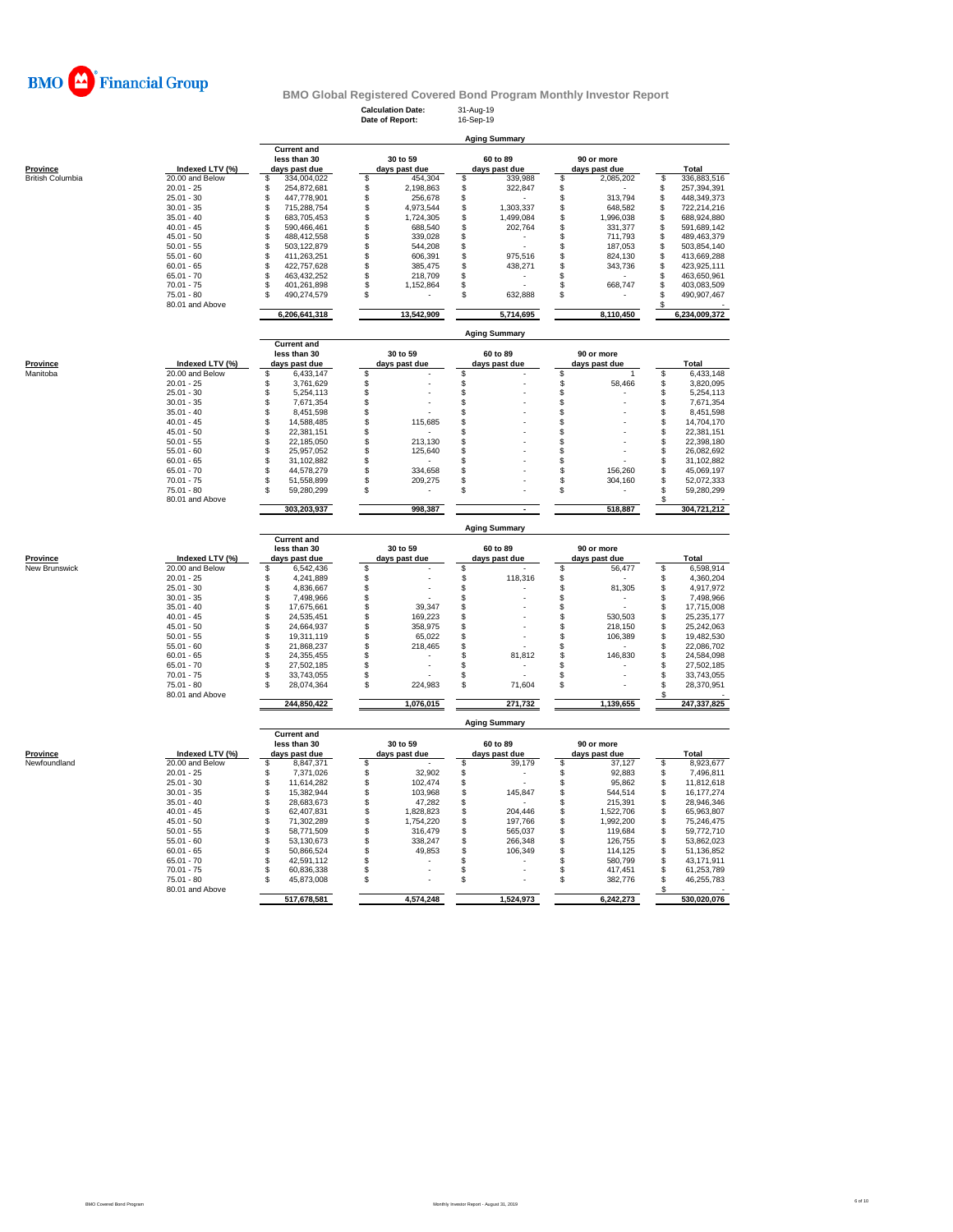

**Aging Summary**

**Calculation Date:** 31-Aug-19 **Date of Report:** 16-Sep-19

|                             |                 | <b>Current and</b>            |               |            |                      |           |                           |               |     |                          |
|-----------------------------|-----------------|-------------------------------|---------------|------------|----------------------|-----------|---------------------------|---------------|-----|--------------------------|
|                             |                 | less than 30                  | 30 to 59      |            | 60 to 89             |           |                           | 90 or more    |     |                          |
| <b>Province</b>             | Indexed LTV (%) | days past due                 | days past due |            | days past due        |           |                           | days past due |     | <b>Total</b>             |
| <b>British Columbia</b>     | 20.00 and Below | \$<br>334,004,022             | \$            | 454,304    | \$                   | 339,988   | \$                        | 2,085,202     | \$  | 336,883,516              |
|                             | $20.01 - 25$    | \$<br>254,872,681             | \$            | 2,198,863  | \$                   | 322,847   | \$                        |               | \$  | 257,394,391              |
|                             | $25.01 - 30$    | \$<br>447,778,901             | \$            | 256,678    | \$                   |           | \$                        | 313,794       | \$  | 448,349,373              |
|                             | $30.01 - 35$    | \$<br>715,288,754             | \$            | 4,973,544  | \$                   | 1,303,337 | \$                        | 648,582       | S   | 722,214,216              |
|                             |                 |                               |               |            |                      |           |                           |               |     |                          |
|                             | $35.01 - 40$    | \$<br>683,705,453             | \$            | 1,724,305  | \$                   | 1,499,084 | \$                        | 1,996,038     | \$  | 688,924,880              |
|                             | $40.01 - 45$    | \$<br>590,466,461             | \$            | 688,540    | \$                   | 202,764   | \$                        | 331,377       | \$  | 591,689,142              |
|                             | $45.01 - 50$    | \$<br>488,412,558             | S             | 339,028    | \$                   |           | \$                        | 711,793       | \$  | 489,463,379              |
|                             | $50.01 - 55$    | \$<br>503,122,879             | \$            | 544,208    | \$                   |           | \$                        | 187,053       | \$  | 503,854,140              |
|                             | $55.01 - 60$    | \$<br>411,263,251             | \$            | 606,391    | \$                   | 975,516   | \$                        | 824,130       | \$  | 413,669,288              |
|                             | $60.01 - 65$    | \$<br>422,757,628             | \$            | 385,475    | \$                   | 438,271   | \$                        | 343,736       | \$  | 423,925,111              |
|                             | $65.01 - 70$    | \$<br>463,432,252             | S             | 218,709    | \$                   |           | \$                        |               | S   | 463,650,961              |
|                             | $70.01 - 75$    | \$<br>401,261,898             | \$            |            | \$                   |           | \$                        | 668,747       | \$  | 403,083,509              |
|                             |                 |                               |               | 1,152,864  |                      |           |                           |               |     |                          |
|                             | $75.01 - 80$    | 490,274,579<br>\$             | \$            |            | \$                   | 632,888   | \$                        |               | S   | 490,907,467              |
|                             | 80.01 and Above |                               |               |            |                      |           |                           |               | s   |                          |
|                             |                 | 6,206,641,318                 |               | 13,542,909 |                      | 5,714,695 |                           | 8,110,450     |     | 6,234,009,372            |
|                             |                 |                               |               |            |                      |           |                           |               |     |                          |
|                             |                 |                               |               |            | <b>Aging Summary</b> |           |                           |               |     |                          |
|                             |                 | <b>Current and</b>            |               |            |                      |           |                           |               |     |                          |
|                             |                 | less than 30                  | 30 to 59      |            | 60 to 89             |           |                           | 90 or more    |     |                          |
|                             |                 |                               |               |            |                      |           |                           |               |     |                          |
| <b>Province</b><br>Manitoba | Indexed LTV (%) | days past due<br>S            | days past due |            | days past due        |           |                           | days past due |     | Total                    |
|                             | 20.00 and Below | 6,433,147                     | \$            |            | \$                   |           | \$                        | 1             | \$  | 6,433,148                |
|                             | $20.01 - 25$    | 3,761,629<br>\$               | \$            |            | \$                   |           | \$                        | 58,466        | \$  | 3,820,095                |
|                             | $25.01 - 30$    | \$<br>5,254,113               | \$            |            | \$                   |           | \$                        |               | \$  | 5,254,113                |
|                             | $30.01 - 35$    | \$<br>7,671,354               | \$            |            | \$                   |           | \$                        |               | S   | 7,671,354                |
|                             | $35.01 - 40$    | S<br>8,451,598                | \$            |            | \$                   |           | \$                        |               | \$  | 8,451,598                |
|                             | $40.01 - 45$    | \$<br>14,588,485              | \$            | 115,685    | \$                   |           | \$                        |               | \$  | 14,704,170               |
|                             | $45.01 - 50$    | \$                            |               |            |                      |           |                           |               |     |                          |
|                             |                 | 22,381,151                    | \$            |            | \$                   |           | \$                        |               | \$  | 22,381,151               |
|                             | $50.01 - 55$    | \$<br>22,185,050              | \$            | 213,130    | \$                   |           | \$                        |               | \$  | 22,398,180               |
|                             | $55.01 - 60$    | \$<br>25,957,052              | S             | 125,640    | \$                   |           | \$                        |               | \$  | 26,082,692               |
|                             | $60.01 - 65$    | S<br>31.102.882               | \$            |            | \$                   |           | \$                        |               | S   | 31,102,882               |
|                             | $65.01 - 70$    | \$<br>44,578,279              | \$            | 334,658    | \$                   |           | \$                        | 156,260       | \$  | 45,069,197               |
|                             | $70.01 - 75$    | \$<br>51,558,899              | \$            | 209,275    | \$                   |           | \$                        | 304,160       | \$  | 52,072,333               |
|                             | $75.01 - 80$    | S<br>59,280,299               | S             |            | \$                   |           | \$                        |               | £.  | 59,280,299               |
|                             |                 |                               |               |            |                      |           |                           |               |     |                          |
|                             | 80.01 and Above |                               |               |            |                      |           |                           |               |     |                          |
|                             |                 | 303,203,937                   |               | 998,387    |                      |           |                           | 518,887       |     | 304,721,212              |
|                             |                 |                               |               |            |                      |           |                           |               |     |                          |
|                             |                 |                               |               |            |                      |           |                           |               |     |                          |
|                             |                 |                               |               |            | <b>Aging Summary</b> |           |                           |               |     |                          |
|                             |                 |                               |               |            |                      |           |                           |               |     |                          |
|                             |                 | <b>Current and</b>            |               |            |                      |           |                           |               |     |                          |
|                             |                 | less than 30                  | 30 to 59      |            | 60 to 89             |           |                           | 90 or more    |     |                          |
| Province                    | Indexed LTV (%) | days past due                 | days past due |            | days past due        |           |                           | days past due |     | Total                    |
| New Brunswick               | 20.00 and Below | \$<br>6,542,436               | \$            |            | \$                   |           | \$                        | 56,477        | S   | 6,598,914                |
|                             | $20.01 - 25$    | \$<br>4,241,889               | \$            |            | \$                   | 118,316   | \$                        |               | \$  | 4,360,204                |
|                             | $25.01 - 30$    | \$                            | \$            |            | \$                   |           | \$                        | 81,305        | \$  | 4,917,972                |
|                             | $30.01 - 35$    | 4,836,667<br>\$<br>7,498,966  | \$            |            | \$                   |           | \$                        |               | \$  | 7,498,966                |
|                             |                 |                               |               |            |                      |           |                           |               |     |                          |
|                             | $35.01 - 40$    | \$<br>17,675,661              | S             | 39,347     | \$                   |           | \$                        |               | \$  | 17,715,008               |
|                             | $40.01 - 45$    | \$<br>24,535,451              | \$            | 169,223    | \$                   |           | \$                        | 530,503       | \$  | 25,235,177               |
|                             | $45.01 - 50$    | S<br>24,664,937               | S             | 358,975    | \$                   |           | \$                        | 218,150       | \$  | 25,242,063               |
|                             | $50.01 - 55$    | S<br>19,311,119               | S             | 65,022     | \$                   |           | \$                        | 106,389       | S   | 19,482,530               |
|                             | $55.01 - 60$    | \$<br>21,868,237              | S             | 218,465    | \$                   |           | \$                        |               | \$  | 22,086,702               |
|                             | $60.01 - 65$    | \$<br>24,355,455              | \$            |            | \$                   | 81,812    | \$                        | 146,830       | \$  | 24,584,098               |
|                             |                 | s                             |               |            |                      |           |                           |               | S   |                          |
|                             | $65.01 - 70$    | 27,502,185<br>S<br>33,743,055 | \$<br>S       |            | \$<br>\$             |           | \$<br>\$                  |               | \$  | 27,502,185<br>33,743,055 |
|                             | $70.01 - 75$    | S                             |               |            |                      |           |                           |               |     |                          |
|                             | $75.01 - 80$    | 28,074,364                    | \$            | 224,983    | \$                   | 71,604    | \$                        |               | \$  | 28,370,951               |
|                             | 80.01 and Above |                               |               |            |                      |           |                           |               |     |                          |
|                             |                 | 244,850,422                   |               | 1,076,015  |                      | 271,732   |                           | 1,139,655     |     | 247,337,825              |
|                             |                 |                               |               |            |                      |           |                           |               |     |                          |
|                             |                 |                               |               |            | <b>Aging Summary</b> |           |                           |               |     |                          |
|                             |                 | <b>Current and</b>            |               |            |                      |           |                           |               |     |                          |
|                             |                 | less than 30                  | 30 to 59      |            | 60 to 89             |           |                           | 90 or more    |     |                          |
|                             |                 |                               |               |            |                      |           |                           |               |     |                          |
| Province                    | Indexed LTV (%) | days past due                 | days past due |            | days past due        |           |                           | days past due |     | Total                    |
| Newfoundland                | 20.00 and Below | \$<br>8,847,371               | S             |            | \$                   | 39,179    | $\boldsymbol{\mathsf{s}}$ | 37,127        | \$  | 8,923,677                |
|                             | $20.01 - 25$    | 7.371.026<br>\$               | \$            | 32,902     | \$                   |           | \$                        | 92,883        | \$  | 7,496,811                |
|                             | $25.01 - 30$    | \$<br>11,614,282              | \$            | 102,474    | \$                   |           | \$                        | 95,862        | \$  | 11,812,618               |
|                             | $30.01 - 35$    | \$<br>15,382,944              | S             | 103,968    | $\dot{\$}$           | 145,847   | \$                        | 544,514       | \$  | 16, 177, 274             |
|                             | $35.01 - 40$    | \$<br>28,683,673              | \$            | 47,282     | \$                   |           | \$                        | 215,391       | \$  | 28,946,346               |
|                             |                 |                               |               |            |                      |           |                           |               |     |                          |
|                             | $40.01 - 45$    | \$<br>62,407,831              | \$            | 1,828,823  | \$                   | 204,446   | \$                        | 1,522,706     | \$  | 65,963,807               |
|                             | $45.01 - 50$    | \$<br>71,302,289              | \$            | 1,754,220  | \$                   | 197,766   | \$                        | 1,992,200     | S   | 75,246,475               |
|                             | $50.01 - 55$    | \$<br>58,771,509              | \$            | 316,479    | \$                   | 565,037   | \$                        | 119,684       | \$  | 59,772,710               |
|                             | $55.01 - 60$    | \$<br>53,130,673              | \$            | 338,247    | \$                   | 266,348   | \$                        | 126,755       | S   | 53,862,023               |
|                             | $60.01 - 65$    | \$<br>50,866,524              | \$            | 49,853     | \$                   | 106,349   | \$                        | 114,125       | \$  | 51,136,852               |
|                             | $65.01 - 70$    | 42,591,112<br>S               | S             |            | \$                   |           | \$                        | 580,799       | \$  | 43,171,911               |
|                             | $70.01 - 75$    | 60,836,338<br>\$              | \$            |            | \$                   |           | \$                        | 417,451       | \$  | 61,253,789               |
|                             |                 |                               |               |            |                      |           |                           |               |     |                          |
|                             | 75.01 - 80      | s<br>45,873,008               | \$            |            | \$                   |           | \$                        | 382,776       | \$  | 46,255,783               |
|                             | 80.01 and Above |                               |               |            |                      |           |                           |               | \$. |                          |
|                             |                 | 517,678,581                   |               | 4,574,248  |                      | 1,524,973 |                           | 6,242,273     |     | 530,020,076              |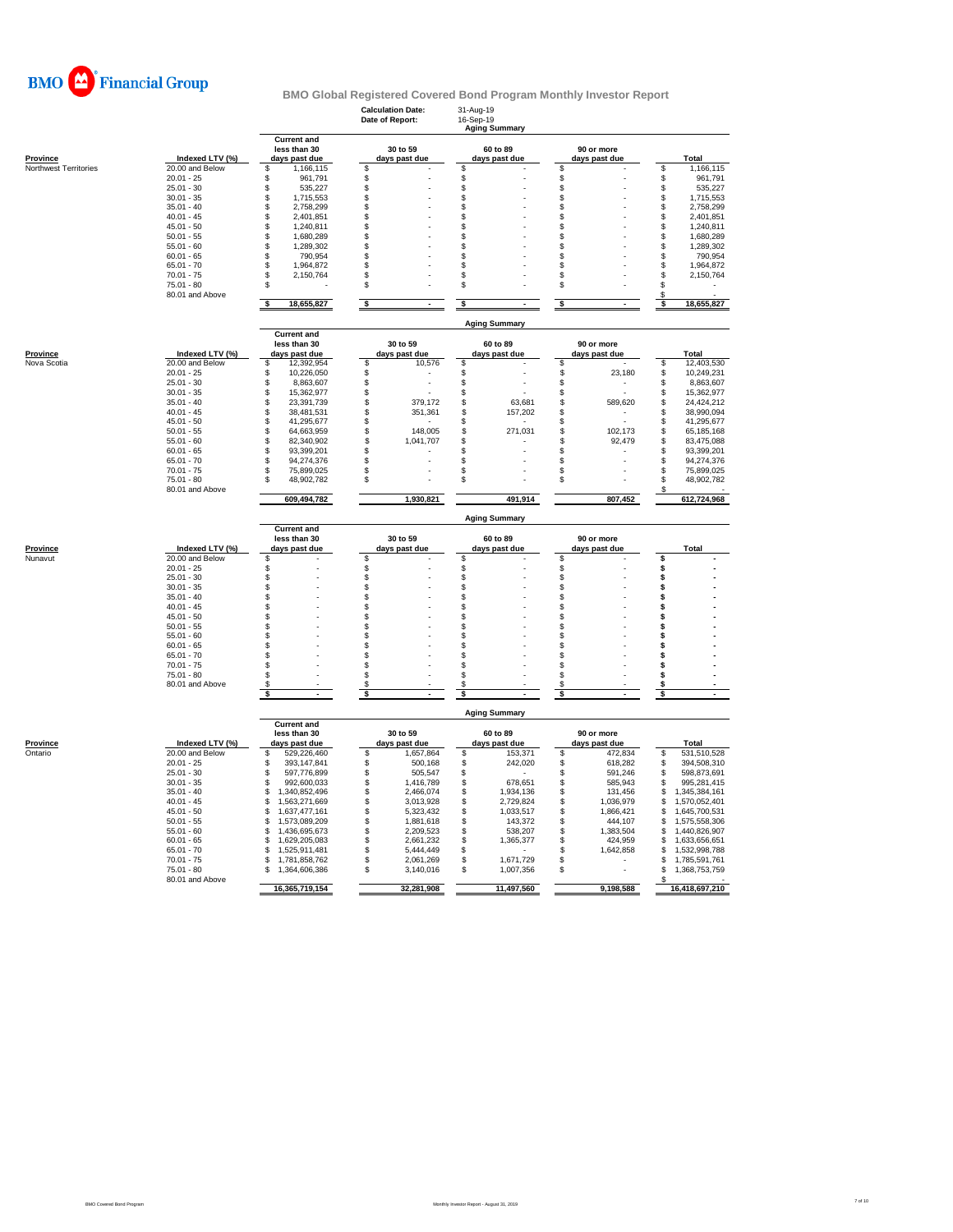

|                              |                                    |                                                     | <b>Calculation Date:</b><br>Date of Report: | 31-Aug-19<br>16-Sep-19<br><b>Aging Summary</b> |                                              |                                            |
|------------------------------|------------------------------------|-----------------------------------------------------|---------------------------------------------|------------------------------------------------|----------------------------------------------|--------------------------------------------|
| <b>Province</b>              | Indexed LTV (%)                    | <b>Current and</b><br>less than 30<br>days past due | 30 to 59<br>days past due                   | 60 to 89<br>days past due                      | 90 or more<br>days past due                  | Total                                      |
| <b>Northwest Territories</b> | 20.00 and Below                    | \$<br>1,166,115                                     | \$                                          | \$                                             | \$                                           | \$<br>1,166,115                            |
|                              | $20.01 - 25$                       | \$<br>961,791                                       | \$                                          | \$                                             | \$                                           | \$<br>961,791                              |
|                              | $25.01 - 30$                       | \$<br>535,227                                       | \$                                          | \$                                             | \$                                           | \$<br>535,227                              |
|                              | $30.01 - 35$                       | \$<br>1,715,553<br>\$                               | \$                                          | \$                                             | \$<br>\$                                     | \$<br>1,715,553                            |
|                              | $35.01 - 40$<br>$40.01 - 45$       | 2,758,299<br>\$<br>2,401,851                        | \$<br>\$                                    | \$<br>\$                                       | \$                                           | \$<br>2,758,299<br>\$<br>2,401,851         |
|                              | $45.01 - 50$                       | \$<br>1.240.811                                     | \$                                          | \$                                             | \$                                           | \$<br>1,240,811                            |
|                              | $50.01 - 55$                       | \$<br>1,680,289                                     | \$                                          | \$                                             | \$                                           | \$<br>1,680,289                            |
|                              | $55.01 - 60$                       | \$<br>1,289,302                                     | \$                                          | \$                                             | \$                                           | \$<br>1,289,302                            |
|                              | $60.01 - 65$                       | \$<br>790,954                                       | \$                                          | \$                                             | \$                                           | \$<br>790,954                              |
|                              | $65.01 - 70$                       | \$<br>1,964,872                                     | \$                                          | \$                                             | \$                                           | \$<br>1,964,872                            |
|                              | $70.01 - 75$                       | \$<br>2,150,764                                     | S                                           | \$                                             | \$                                           | \$<br>2,150,764                            |
|                              | 75.01 - 80<br>80.01 and Above      | \$                                                  | \$                                          | \$                                             | \$                                           | \$<br>\$                                   |
|                              |                                    | s<br>18,655,827                                     | \$                                          | \$                                             | \$                                           | \$<br>18,655,827                           |
|                              |                                    | <b>Current and</b>                                  |                                             | <b>Aging Summary</b>                           |                                              |                                            |
| Province                     | Indexed LTV (%)                    | less than 30<br>days past due                       | 30 to 59<br>days past due                   | 60 to 89<br>days past due                      | 90 or more<br>days past due                  | <b>Total</b>                               |
| Nova Scotia                  | 20.00 and Below                    | \$<br>12,392,954                                    | \$<br>10,576                                | \$                                             | \$                                           | \$<br>12,403,530                           |
|                              | $20.01 - 25$                       | \$<br>10,226,050                                    | \$                                          | \$                                             | \$<br>23,180                                 | \$<br>10,249,231                           |
|                              | $25.01 - 30$                       | \$<br>8,863,607                                     | \$<br>$\overline{a}$                        | \$<br>Ĭ.                                       | \$                                           | \$<br>8,863,607                            |
|                              | $30.01 - 35$                       | \$<br>15,362,977                                    | \$<br>$\overline{a}$                        | \$                                             | \$                                           | \$<br>15,362,977                           |
|                              | $35.01 - 40$                       | \$<br>23,391,739                                    | \$<br>379,172                               | \$<br>63,681                                   | $$\mathbb{S}$$<br>589,620                    | \$<br>24,424,212                           |
|                              | $40.01 - 45$<br>$45.01 - 50$       | \$<br>38,481,531<br>\$<br>41,295,677                | \$<br>351,361                               | \$<br>157,202<br>\$                            | \$<br>\$                                     | \$<br>38,990,094<br>\$<br>41,295,677       |
|                              | $50.01 - 55$                       | \$<br>64,663,959                                    | \$<br>\$<br>148,005                         | \$<br>271,031                                  | \$<br>102,173                                | \$<br>65,185,168                           |
|                              | $55.01 - 60$                       | \$<br>82,340,902                                    | \$<br>1,041,707                             | \$                                             | \$<br>92,479                                 | \$<br>83,475,088                           |
|                              | $60.01 - 65$                       | \$<br>93,399,201                                    | \$                                          | \$                                             | \$                                           | \$<br>93,399,201                           |
|                              | $65.01 - 70$                       | \$<br>94,274,376                                    | \$                                          | \$                                             | \$                                           | S<br>94,274,376                            |
|                              | $70.01 - 75$                       | \$<br>75,899,025                                    | \$                                          | \$                                             | \$                                           | S<br>75,899,025                            |
|                              | $75.01 - 80$<br>80.01 and Above    | S<br>48,902,782                                     | \$                                          | \$                                             | \$                                           | \$<br>48,902,782<br>S                      |
|                              |                                    | 609,494,782                                         | 1,930,821                                   | 491,914                                        | 807,452                                      | 612,724,968                                |
|                              |                                    |                                                     |                                             | <b>Aging Summary</b>                           |                                              |                                            |
|                              |                                    | <b>Current and</b>                                  |                                             |                                                |                                              |                                            |
|                              |                                    |                                                     |                                             |                                                |                                              |                                            |
| <b>Province</b>              | Indexed LTV (%)                    | less than 30                                        | 30 to 59                                    | 60 to 89                                       | 90 or more<br>days past due                  | Total                                      |
| Nunavut                      | 20.00 and Below                    | days past due<br>\$                                 | days past due<br>\$                         | days past due<br>\$                            | \$                                           | \$                                         |
|                              | $20.01 - 25$                       | \$                                                  | \$                                          | \$                                             | \$                                           | \$                                         |
|                              | $25.01 - 30$                       | \$                                                  | \$                                          | \$                                             | \$                                           | \$                                         |
|                              | $30.01 - 35$                       | \$                                                  | \$                                          | \$                                             | \$                                           | \$                                         |
|                              | $35.01 - 40$                       | \$                                                  | \$                                          | \$                                             | \$                                           | \$                                         |
|                              | $40.01 - 45$                       | \$                                                  | \$                                          | \$                                             | \$                                           | Ś                                          |
|                              | $45.01 - 50$<br>$50.01 - 55$       | \$                                                  | \$<br>s                                     | \$                                             | \$<br>\$                                     | \$                                         |
|                              | $55.01 - 60$                       | \$<br>Ŝ                                             | \$                                          | \$<br>\$                                       | \$                                           | \$<br>Ś                                    |
|                              | $60.01 - 65$                       | \$                                                  | \$                                          | \$                                             | \$                                           | Ś                                          |
|                              | $65.01 - 70$                       | \$                                                  | S                                           | \$                                             | \$                                           | s                                          |
|                              | $70.01 - 75$                       | \$                                                  | \$                                          | \$                                             | \$                                           | Ś                                          |
|                              | $75.01 - 80$                       | \$                                                  | \$                                          | \$                                             | \$                                           | \$                                         |
|                              | 80.01 and Above                    | £.                                                  | S<br>\$                                     | \$<br>s                                        | \$.<br>\$                                    | s<br>s                                     |
|                              |                                    |                                                     |                                             | <b>Aging Summary</b>                           |                                              |                                            |
|                              |                                    | <b>Current and</b>                                  |                                             |                                                |                                              |                                            |
|                              |                                    | less than 30                                        | 30 to 59                                    | 60 to 89                                       | 90 or more                                   |                                            |
| Province<br>Ontario          | Indexed LTV (%)<br>20.00 and Below | days past due<br>\$                                 | days past due<br>1,657,864                  | days past due<br>153,371                       | days past due                                | <b>Total</b><br>531,510,528                |
|                              | $20.01 - 25$                       | 529,226,460<br>\$<br>393, 147, 841                  | \$<br>\$<br>500,168                         | \$<br>\$<br>242,020                            | \$<br>472,834<br>\$<br>618,282               | \$<br>\$<br>394,508,310                    |
|                              | $25.01 - 30$                       | \$<br>597,776,899                                   | \$<br>505,547                               | \$                                             | \$<br>591,246                                | \$<br>598,873,691                          |
|                              | $30.01 - 35$                       | \$<br>992,600,033                                   | \$<br>1,416,789                             | \$<br>678,651                                  | \$<br>585,943                                | \$<br>995,281,415                          |
|                              | $35.01 - 40$                       | \$<br>1,340,852,496                                 | \$<br>2,466,074                             | \$<br>1,934,136                                | \$<br>131,456                                | \$<br>1,345,384,161                        |
|                              | $40.01 - 45$                       | \$<br>1,563,271,669                                 | \$<br>3,013,928                             | \$<br>2,729,824                                | \$<br>1,036,979                              | \$<br>1,570,052,401                        |
|                              | $45.01 - 50$                       | \$<br>1,637,477,161                                 | \$<br>5,323,432                             | \$<br>1,033,517                                | \$<br>1,866,421                              | \$<br>1,645,700,531                        |
|                              | $50.01 - 55$                       | \$<br>1,573,089,209                                 | \$<br>1,881,618                             | \$<br>143,372                                  | \$<br>444,107                                | \$<br>1,575,558,306                        |
|                              | $55.01 - 60$<br>$60.01 - 65$       | \$<br>1,436,695,673<br>\$<br>1,629,205,083          | \$<br>2,209,523<br>\$<br>2,661,232          | \$<br>538,207<br>\$                            | \$<br>1,383,504<br>$$\mathbb{S}$$<br>424,959 | \$<br>1,440,826,907<br>\$<br>1,633,656,651 |
|                              | $65.01 - 70$                       | \$<br>1,525,911,481                                 | \$<br>5,444,449                             | 1,365,377<br>\$                                | \$<br>1,642,858                              | \$<br>1,532,998,788                        |
|                              | $70.01 - 75$                       | \$<br>1,781,858,762                                 | \$<br>2,061,269                             | \$<br>1,671,729                                | \$                                           | \$<br>1,785,591,761                        |
|                              | $75.01 - 80$                       | \$<br>1,364,606,386                                 | \$<br>3,140,016                             | \$<br>1,007,356                                | \$                                           | \$<br>1,368,753,759                        |
|                              | 80.01 and Above                    | 16,365,719,154                                      | 32,281,908                                  | 11,497,560                                     | 9,198,588                                    | S<br>16,418,697,210                        |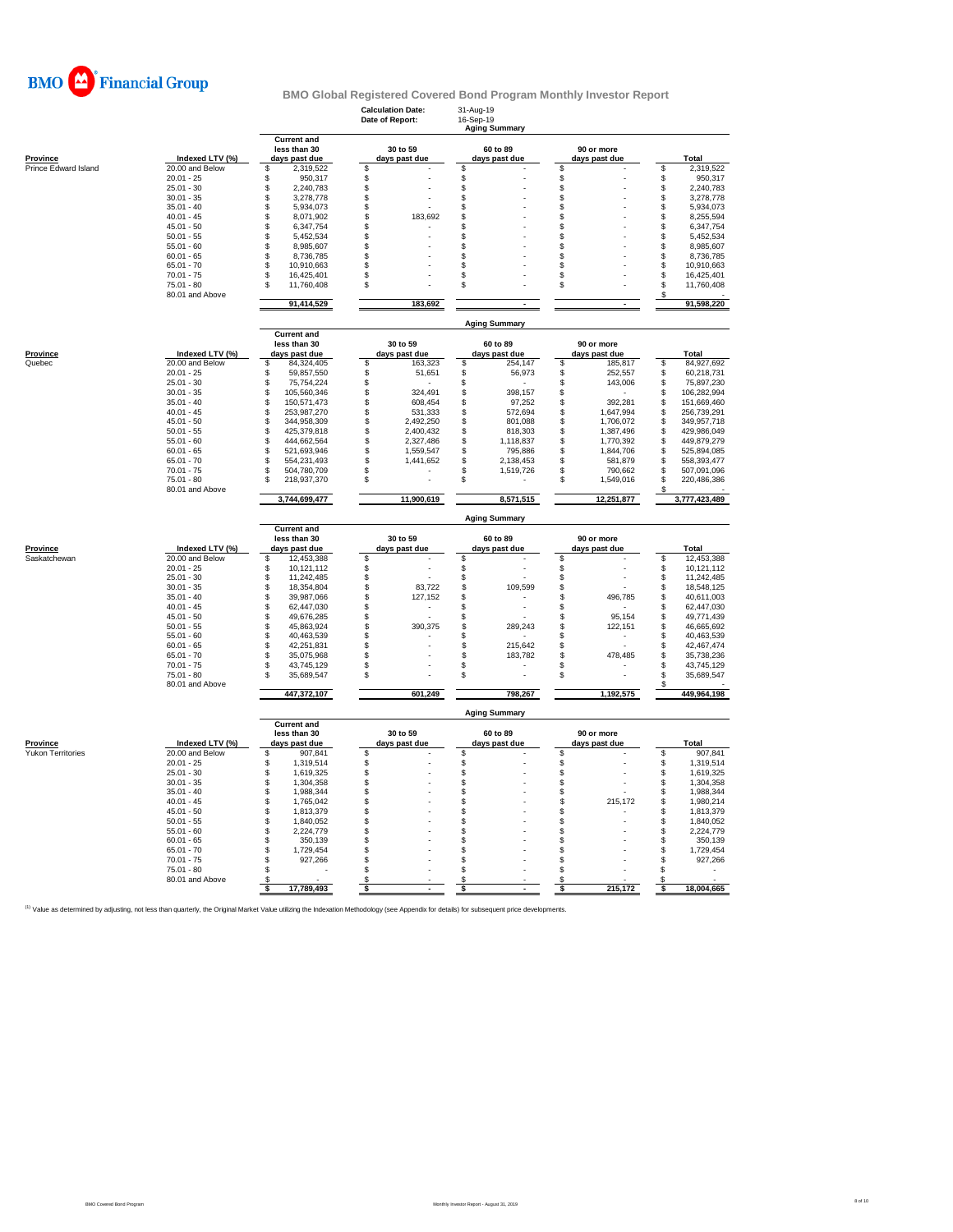

|                      |                                 |                                                     | <b>Calculation Date:</b><br>Date of Report: | 31-Aug-19<br>16-Sep-19<br><b>Aging Summary</b> |                             |                                 |
|----------------------|---------------------------------|-----------------------------------------------------|---------------------------------------------|------------------------------------------------|-----------------------------|---------------------------------|
| Province             | Indexed LTV (%)                 | <b>Current and</b><br>less than 30<br>days past due | 30 to 59<br>days past due                   | 60 to 89<br>days past due                      | 90 or more<br>days past due | Total                           |
| Prince Edward Island | 20.00 and Below                 | \$<br>2,319,522                                     | \$                                          | \$                                             | \$                          | \$<br>2,319,522                 |
|                      | $20.01 - 25$                    | 950,317<br>\$                                       | \$                                          | \$                                             | \$                          | \$<br>950,317                   |
|                      | $25.01 - 30$                    | \$<br>2,240,783                                     | \$                                          | \$                                             | $\ddot{\$}$                 | \$<br>2,240,783                 |
|                      | $30.01 - 35$                    | \$<br>3,278,778                                     | \$                                          | \$                                             | \$                          | \$<br>3,278,778                 |
|                      | $35.01 - 40$                    | \$<br>5,934,073                                     | S                                           | \$                                             | \$                          | $\mathsf{\$}$<br>5,934,073      |
|                      | $40.01 - 45$                    | \$<br>8,071,902                                     | \$<br>183,692                               | \$                                             | \$                          | \$<br>8,255,594                 |
|                      | $45.01 - 50$                    | \$<br>6,347,754                                     | \$                                          | S                                              | \$                          | \$<br>6,347,754                 |
|                      | $50.01 - 55$                    | \$<br>5,452,534                                     | \$                                          | \$                                             | \$                          | \$<br>5,452,534                 |
|                      | $55.01 - 60$                    | \$<br>8,985,607                                     | \$                                          | \$                                             | \$                          | \$<br>8,985,607                 |
|                      | $60.01 - 65$                    | \$<br>8,736,785                                     | \$                                          | \$                                             | \$                          | \$<br>8,736,785                 |
|                      | $65.01 - 70$                    | 10,910,663<br>\$                                    | \$                                          | \$                                             | \$                          | $\mathbb{S}$<br>10,910,663      |
|                      | $70.01 - 75$                    | 16,425,401<br>\$                                    | \$                                          | \$                                             | \$                          | \$<br>16,425,401                |
|                      | $75.01 - 80$<br>80.01 and Above | 11,760,408<br>S                                     | \$                                          | S                                              | \$                          | \$<br>11,760,408<br>S           |
|                      |                                 | 91,414,529                                          | 183,692                                     | $\sim$                                         | $\sim$                      | 91,598,220                      |
|                      |                                 | <b>Current and</b>                                  |                                             | <b>Aging Summary</b>                           |                             |                                 |
|                      |                                 | less than 30                                        | 30 to 59                                    | 60 to 89                                       | 90 or more                  |                                 |
| <b>Province</b>      | Indexed LTV (%)                 | days past due                                       | days past due                               | days past due                                  | days past due               | Total                           |
| Quebec               | 20.00 and Below                 | \$<br>84,324,405                                    | $\mathbb{S}$<br>163,323                     | \$<br>254,147                                  | \$<br>185,817               | \$<br>84,927,692                |
|                      | $20.01 - 25$                    | 59,857,550<br>\$                                    | \$<br>51,651                                | \$<br>56,973                                   | \$<br>252,557               | \$<br>60,218,731                |
|                      | $25.01 - 30$                    | \$<br>75,754,224                                    | \$                                          | \$                                             | \$<br>143,006               | \$<br>75,897,230                |
|                      | $30.01 - 35$                    | \$<br>105,560,346                                   | \$<br>324,491                               | \$<br>398,157                                  | \$                          | \$<br>106,282,994               |
|                      | $35.01 - 40$                    | 150,571,473<br>\$                                   | \$<br>608,454                               | \$<br>97,252                                   | \$<br>392,281               | \$<br>151,669,460               |
|                      | $40.01 - 45$                    | \$<br>253,987,270                                   | \$<br>531,333                               | \$<br>572,694                                  | \$<br>1,647,994             | \$<br>256,739,291               |
|                      | $45.01 - 50$                    | 344,958,309<br>\$                                   | 2,492,250<br>\$                             | 801,088<br>\$                                  | 1,706,072<br>\$             | 349,957,718<br>\$               |
|                      | $50.01 - 55$                    | \$<br>425,379,818                                   | \$<br>2,400,432                             | \$<br>818,303                                  | S<br>1,387,496              | \$<br>429,986,049               |
|                      | $55.01 - 60$                    | \$<br>444,662,564                                   | \$<br>2,327,486                             | \$<br>1,118,837                                | \$<br>1,770,392             | \$<br>449,879,279               |
|                      | $60.01 - 65$                    | \$<br>521,693,946                                   | \$<br>1,559,547                             | \$<br>795,886                                  | \$<br>1,844,706             | \$<br>525,894,085               |
|                      | $65.01 - 70$                    | \$<br>554,231,493                                   | \$<br>1,441,652                             | \$<br>2,138,453                                | \$<br>581,879               | \$<br>558,393,477               |
|                      | $70.01 - 75$                    | 504,780,709<br>S                                    | \$                                          | \$<br>1,519,726                                | \$<br>790,662               | \$<br>507,091,096               |
|                      | $75.01 - 80$                    | 218,937,370<br>S                                    | \$                                          | S                                              | S<br>1,549,016              | S<br>220,486,386                |
|                      | 80.01 and Above                 | 3,744,699,477                                       |                                             |                                                |                             |                                 |
|                      |                                 |                                                     | 11,900,619                                  | 8,571,515                                      | 12,251,877                  | 3,777,423,489                   |
|                      |                                 |                                                     |                                             | <b>Aging Summary</b>                           |                             |                                 |
|                      |                                 | <b>Current and</b>                                  |                                             |                                                |                             |                                 |
|                      |                                 | less than 30                                        | 30 to 59                                    | 60 to 89                                       | 90 or more                  |                                 |
| <b>Province</b>      | Indexed LTV (%)                 | days past due                                       | days past due                               | days past due                                  | days past due               | Total                           |
| Saskatchewan         | 20.00 and Below                 | 12,453,388<br>\$                                    | \$                                          | \$                                             | \$                          | 12.453.388<br>\$                |
|                      | $20.01 - 25$                    | 10,121,112<br>S                                     | \$                                          | \$                                             | \$                          | 10,121,112<br>\$                |
|                      | $25.01 - 30$                    | \$<br>11,242,485                                    | \$<br>$\overline{a}$                        | \$                                             | š.                          | \$<br>11,242,485                |
|                      | $30.01 - 35$                    | \$<br>18,354,804                                    | $\mathbb S$<br>83,722                       | \$<br>109,599                                  | \$                          | $\mathbb S$<br>18,548,125       |
|                      | $35.01 - 40$                    | 39,987,066<br>\$                                    | S<br>127,152                                | \$                                             | \$<br>496,785               | 40,611,003<br>\$                |
|                      | $40.01 - 45$                    | \$<br>62,447,030                                    | \$                                          | S                                              | \$                          | \$<br>62,447,030                |
|                      | $45.01 - 50$                    | 49,676,285<br>S                                     | \$                                          | \$                                             | \$<br>95,154                | \$<br>49,771,439                |
|                      | $50.01 - 55$                    | \$<br>45,863,924                                    | \$<br>390,375                               | \$<br>289,243                                  | \$<br>122,151               | 46,665,692<br>\$                |
|                      | $55.01 - 60$                    | \$<br>40,463,539                                    | \$                                          | \$                                             | \$                          | \$<br>40,463,539                |
|                      | $60.01 - 65$                    | S<br>42,251,831                                     | \$                                          | \$<br>215,642                                  | \$                          | \$<br>42,467,474                |
|                      | $65.01 - 70$                    | S<br>35.075.968                                     | \$                                          | \$<br>183,782                                  | \$<br>478.485               | \$<br>35.738.236                |
|                      | $70.01 - 75$                    | 43,745,129<br>S                                     | \$                                          | \$                                             | \$                          | \$<br>43,745,129                |
|                      | $75.01 - 80$<br>80.01 and Above | 35,689,547<br>S                                     | S                                           | \$                                             | \$                          | S<br>35,689,547                 |
|                      |                                 | 447,372,107                                         | 601,249                                     | 798,267                                        | 1,192,575                   | 449,964,198                     |
|                      |                                 | <b>Current and</b>                                  |                                             | <b>Aging Summary</b>                           |                             |                                 |
|                      |                                 | less than 30                                        | 30 to 59                                    | 60 to 89                                       | 90 or more                  |                                 |
| <b>Province</b>      | Indexed LTV (%)                 | days past due                                       | days past due                               | days past due                                  | days past due               | Total                           |
| Yukon Territories    | 20.00 and Below                 | \$<br>907,841                                       | \$                                          | \$                                             | \$                          | \$<br>907,841                   |
|                      | $20.01 - 25$                    | 1,319,514<br>\$                                     |                                             | \$                                             |                             | \$<br>1,319,514                 |
|                      | 25.01 - 30                      | \$<br>1,619,325                                     | \$                                          | \$<br>\$                                       | \$                          | $\hat{\mathbb{S}}$<br>1,619,325 |
|                      | $30.01 - 35$                    | \$<br>1,304,358                                     | \$                                          |                                                | \$                          | \$<br>1,304,358                 |
|                      | $35.01 - 40$                    | 1,988,344<br>\$<br>S                                | S                                           | \$<br>\$.                                      | \$                          | \$<br>1,988,344                 |
|                      | $40.01 - 45$                    | 1,765,042                                           | \$                                          |                                                | \$<br>215,172               | \$<br>1,980,214                 |
|                      | $45.01 - 50$                    | \$<br>1,813,379                                     | \$                                          | \$                                             | \$                          | \$<br>1,813,379                 |
|                      | $50.01 - 55$                    | 1,840,052<br>S                                      | \$                                          | \$                                             | \$                          | \$<br>1,840,052                 |
|                      | $55.01 - 60$                    | S<br>2,224,779                                      | \$                                          | S                                              | \$                          | \$<br>2,224,779                 |
|                      | $60.01 - 65$                    | \$<br>350,139                                       | S                                           | \$                                             | \$                          | $\mathsf{\$}$<br>350,139        |
|                      | $65.01 - 70$                    | \$<br>1,729,454                                     | \$                                          | \$                                             | \$                          | \$<br>1,729,454                 |
|                      | $70.01 - 75$                    | \$<br>927,266                                       | \$                                          | \$                                             | \$                          | \$<br>927,266                   |
|                      | $75.01 - 80$<br>80.01 and Above | \$<br>S                                             | \$<br>\$                                    | \$<br>\$                                       | \$<br>\$                    | S                               |

<sup>(1)</sup> Value as determined by adjusting, not less than quarterly, the Original Market Value utilizing the Indexation Methodology (see Appendix for details) for subsequent price developments.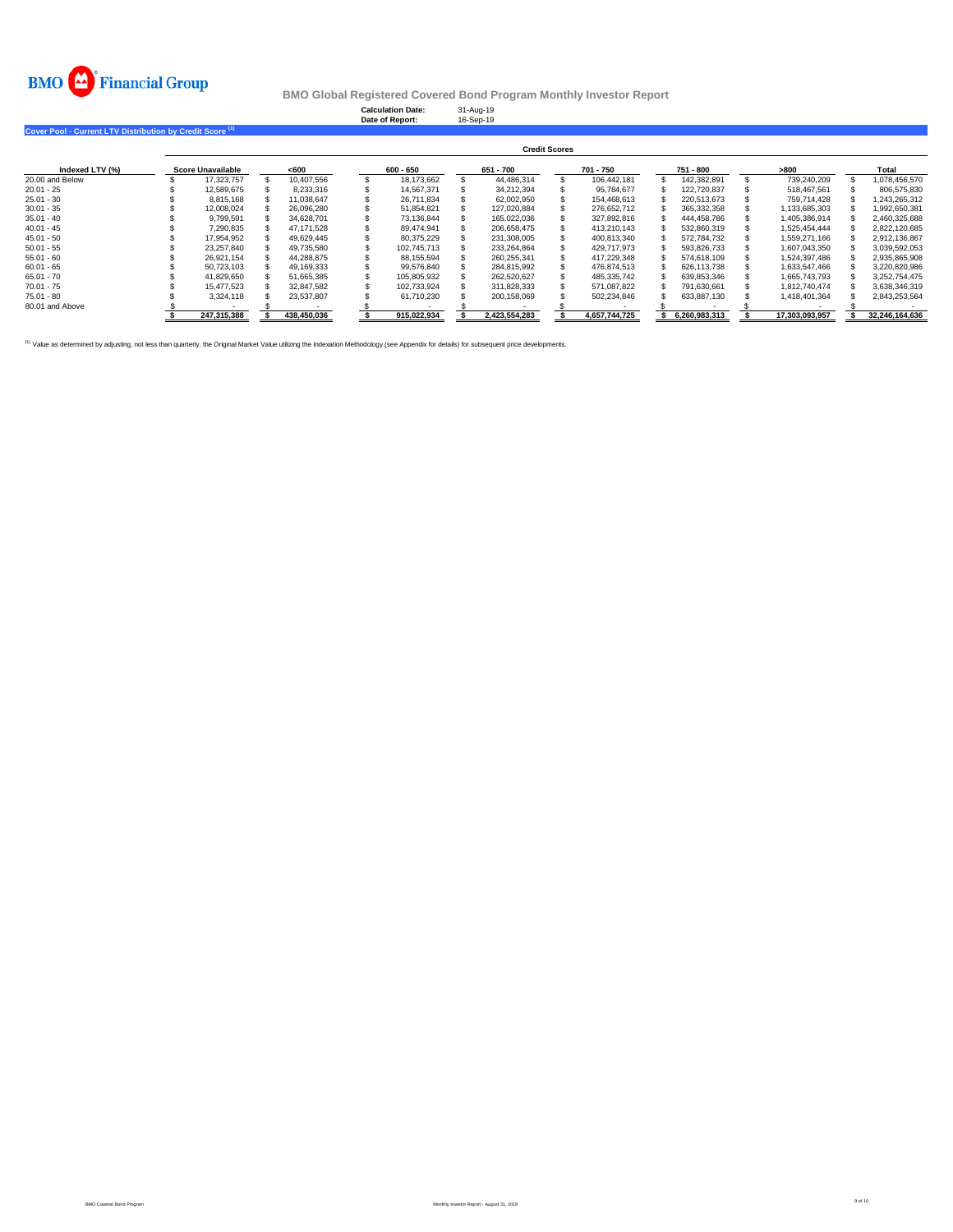

**Calculation Date:** 31-Aug-19 **Date of Report:** 16-Sep-19

**Cover Pool - Current LTV Distribution by Credit Score (1)** 

|                 | <b>Credit Scores</b> |                          |  |             |  |             |  |               |  |               |  |               |  |                |  |                |
|-----------------|----------------------|--------------------------|--|-------------|--|-------------|--|---------------|--|---------------|--|---------------|--|----------------|--|----------------|
| Indexed LTV (%) |                      | <b>Score Unavailable</b> |  | < 600       |  | 600 - 650   |  | 651 - 700     |  | 701 - 750     |  | 751 - 800     |  | >800           |  | Total          |
| 20.00 and Below |                      | 17.323.757               |  | 10.407.556  |  | 18.173.662  |  | 44.486.314    |  | 106.442.181   |  | 142.382.891   |  | 739.240.209    |  | 1.078.456.570  |
| $20.01 - 25$    |                      | 12.589.675               |  | 8.233.316   |  | 14.567.371  |  | 34.212.394    |  | 95.784.677    |  | 122.720.837   |  | 518.467.561    |  | 806.575.830    |
| $25.01 - 30$    |                      | 8.815.168                |  | 11.038.647  |  | 26.711.834  |  | 62.002.950    |  | 154.468.613   |  | 220.513.673   |  | 759.714.428    |  | 1.243.265.312  |
| $30.01 - 35$    |                      | 12,008,024               |  | 26,096,280  |  | 51,854,821  |  | 127.020.884   |  | 276,652,712   |  | 365,332,358   |  | 1,133,685,303  |  | 1,992,650,381  |
| $35.01 - 40$    |                      | 9.799.591                |  | 34.628.701  |  | 73.136.844  |  | 165.022.036   |  | 327.892.816   |  | 444.458.786   |  | 1.405.386.914  |  | 2.460.325.688  |
| $40.01 - 45$    |                      | 7,290,835                |  | 47.171.528  |  | 89.474.941  |  | 206.658.475   |  | 413.210.143   |  | 532,860,319   |  | 1.525.454.444  |  | 2.822.120.685  |
| $45.01 - 50$    |                      | 17.954.952               |  | 49.629.445  |  | 80.375.229  |  | 231.308.005   |  | 400.813.340   |  | 572.784.732   |  | 1.559.271.166  |  | 2,912,136,867  |
| $50.01 - 55$    |                      | 23.257.840               |  | 49.735.580  |  | 102.745.713 |  | 233.264.864   |  | 429.717.973   |  | 593.826.733   |  | 1.607.043.350  |  | 3.039.592.053  |
| $55.01 - 60$    |                      | 26.921.154               |  | 44.288.875  |  | 88.155.594  |  | 260.255.341   |  | 417.229.348   |  | 574.618.109   |  | 1.524.397.486  |  | 2.935.865.908  |
| $60.01 - 65$    |                      | 50.723.103               |  | 49.169.333  |  | 99.576.840  |  | 284.815.992   |  | 476.874.513   |  | 626.113.738   |  | 1.633.547.466  |  | 3.220.820.986  |
| $65.01 - 70$    |                      | 41.829.650               |  | 51.665.385  |  | 105.805.932 |  | 262.520.627   |  | 485.335.742   |  | 639.853.346   |  | 1.665.743.793  |  | 3.252.754.475  |
| $70.01 - 75$    |                      | 15.477.523               |  | 32.847.582  |  | 102.733.924 |  | 311.828.333   |  | 571.087.822   |  | 791.630.661   |  | 1.812.740.474  |  | 3.638.346.319  |
| $75.01 - 80$    |                      | 3.324.118                |  | 23.537.807  |  | 61,710,230  |  | 200,158,069   |  | 502.234.846   |  | 633,887,130   |  | 1,418,401,364  |  | 2,843,253,564  |
| 80.01 and Above |                      |                          |  |             |  |             |  |               |  |               |  |               |  |                |  |                |
|                 |                      | 247.315.388              |  | 438.450.036 |  | 915.022.934 |  | 2.423.554.283 |  | 4.657.744.725 |  | 6.260.983.313 |  | 17.303.093.957 |  | 32.246.164.636 |

<sup>(1)</sup> Value as determined by adjusting, not less than quarterly, the Original Market Value utilizing the Indexation Methodology (see Appendix for details) for subsequent price developments